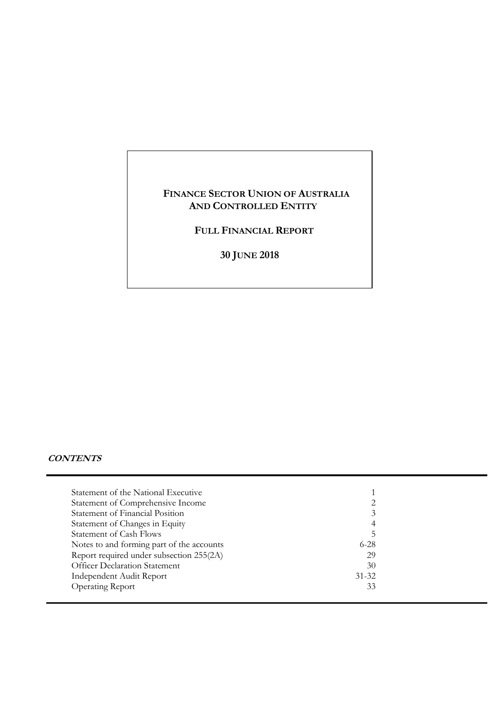**FULL FINANCIAL REPORT**

**30 JUNE 2018**

## **CONTENTS**

| Statement of the National Executive       |           |
|-------------------------------------------|-----------|
| Statement of Comprehensive Income         | ∍         |
| Statement of Financial Position           | 3         |
| Statement of Changes in Equity            | 4         |
| Statement of Cash Flows                   |           |
| Notes to and forming part of the accounts | $6 - 28$  |
| Report required under subsection 255(2A)  | 29        |
| <b>Officer Declaration Statement</b>      | 30        |
| Independent Audit Report                  | $31 - 32$ |
| <b>Operating Report</b>                   | 33        |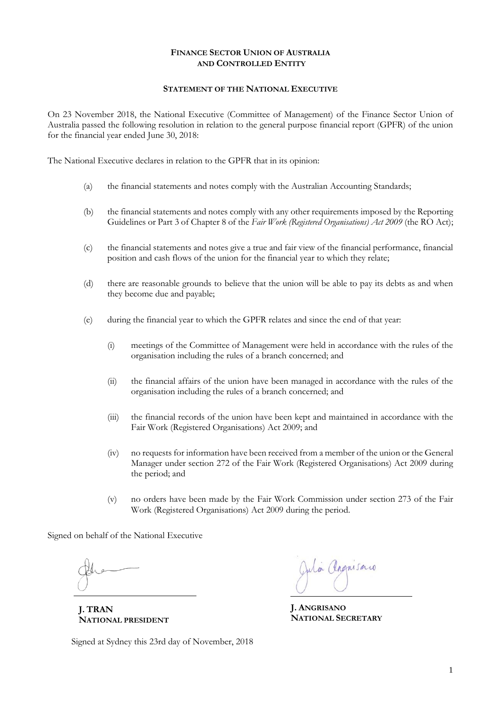#### **STATEMENT OF THE NATIONAL EXECUTIVE**

On 23 November 2018, the National Executive (Committee of Management) of the Finance Sector Union of Australia passed the following resolution in relation to the general purpose financial report (GPFR) of the union for the financial year ended June 30, 2018:

The National Executive declares in relation to the GPFR that in its opinion:

- (a) the financial statements and notes comply with the Australian Accounting Standards;
- (b) the financial statements and notes comply with any other requirements imposed by the Reporting Guidelines or Part 3 of Chapter 8 of the *Fair Work (Registered Organisations) Act 2009* (the RO Act);
- (c) the financial statements and notes give a true and fair view of the financial performance, financial position and cash flows of the union for the financial year to which they relate;
- (d) there are reasonable grounds to believe that the union will be able to pay its debts as and when they become due and payable;
- (e) during the financial year to which the GPFR relates and since the end of that year:
	- (i) meetings of the Committee of Management were held in accordance with the rules of the organisation including the rules of a branch concerned; and
	- (ii) the financial affairs of the union have been managed in accordance with the rules of the organisation including the rules of a branch concerned; and
	- (iii) the financial records of the union have been kept and maintained in accordance with the Fair Work (Registered Organisations) Act 2009; and
	- (iv) no requests for information have been received from a member of the union or the General Manager under section 272 of the Fair Work (Registered Organisations) Act 2009 during the period; and
	- (v) no orders have been made by the Fair Work Commission under section 273 of the Fair Work (Registered Organisations) Act 2009 during the period.

Signed on behalf of the National Executive

**J. TRAN NATIONAL PRESIDENT**

Julia Angnisario

**J. ANGRISANO NATIONAL SECRETARY**

Signed at Sydney this 23rd day of November, 2018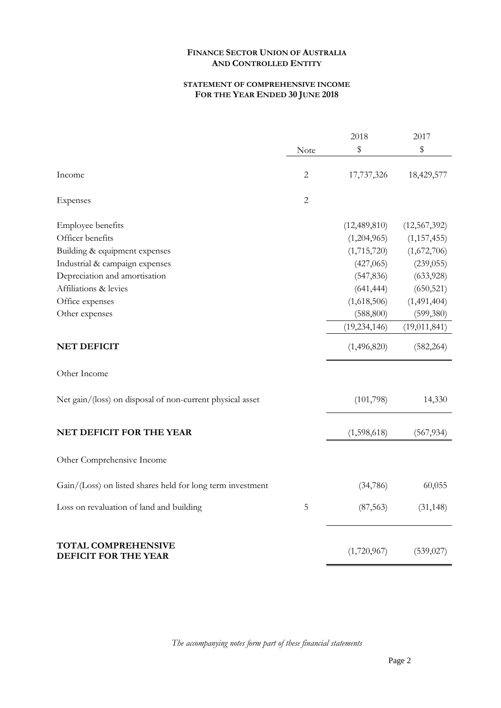## **STATEMENT OF COMPREHENSIVE INCOME FOR THE YEAR ENDED 30 JUNE 2018**

|                                                            |                | 2018           | 2017           |
|------------------------------------------------------------|----------------|----------------|----------------|
|                                                            | Note           | \$             | \$             |
| Income                                                     | $\sqrt{2}$     | 17,737,326     | 18,429,577     |
| Expenses                                                   | $\overline{c}$ |                |                |
| Employee benefits                                          |                | (12, 489, 810) | (12, 567, 392) |
| Officer benefits                                           |                | (1,204,965)    | (1, 157, 455)  |
| Building & equipment expenses                              |                | (1,715,720)    | (1,672,706)    |
| Industrial & campaign expenses                             |                | (427,065)      | (239, 055)     |
| Depreciation and amortisation                              |                | (547, 836)     | (633, 928)     |
| Affiliations & levies                                      |                | (641, 444)     | (650, 521)     |
| Office expenses                                            |                | (1,618,506)    | (1,491,404)    |
| Other expenses                                             |                | (588, 800)     | (599, 380)     |
|                                                            |                | (19, 234, 146) | (19, 011, 841) |
| <b>NET DEFICIT</b>                                         |                | (1,496,820)    | (582, 264)     |
| Other Income                                               |                |                |                |
| Net gain/(loss) on disposal of non-current physical asset  |                | (101,798)      | 14,330         |
| NET DEFICIT FOR THE YEAR                                   |                | (1,598,618)    | (567, 934)     |
| Other Comprehensive Income                                 |                |                |                |
| Gain/(Loss) on listed shares held for long term investment |                | (34, 786)      | 60,055         |
| Loss on revaluation of land and building                   | 5              | (87, 563)      | (31, 148)      |
| <b>TOTAL COMPREHENSIVE</b><br><b>DEFICIT FOR THE YEAR</b>  |                | (1,720,967)    | (539, 027)     |

*The accompanying notes form part of these financial statements*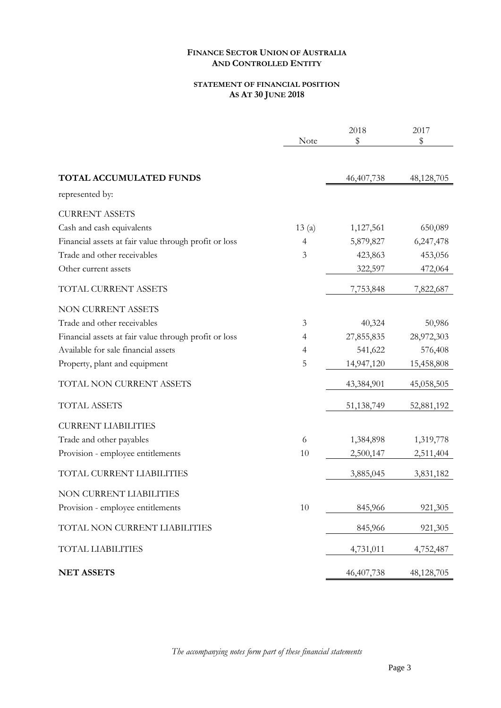## **STATEMENT OF FINANCIAL POSITION AS AT 30 JUNE 2018**

|                                                       | Note  | 2018<br>\$   | 2017<br>\$ |
|-------------------------------------------------------|-------|--------------|------------|
|                                                       |       |              |            |
| TOTAL ACCUMULATED FUNDS                               |       | 46, 407, 738 | 48,128,705 |
| represented by:                                       |       |              |            |
| <b>CURRENT ASSETS</b>                                 |       |              |            |
| Cash and cash equivalents                             | 13(a) | 1,127,561    | 650,089    |
| Financial assets at fair value through profit or loss | 4     | 5,879,827    | 6,247,478  |
| Trade and other receivables                           | 3     | 423,863      | 453,056    |
| Other current assets                                  |       | 322,597      | 472,064    |
| TOTAL CURRENT ASSETS                                  |       | 7,753,848    | 7,822,687  |
| NON CURRENT ASSETS                                    |       |              |            |
| Trade and other receivables                           | 3     | 40,324       | 50,986     |
| Financial assets at fair value through profit or loss | 4     | 27,855,835   | 28,972,303 |
| Available for sale financial assets                   | 4     | 541,622      | 576,408    |
| Property, plant and equipment                         | 5     | 14,947,120   | 15,458,808 |
| TOTAL NON CURRENT ASSETS                              |       | 43,384,901   | 45,058,505 |
| <b>TOTAL ASSETS</b>                                   |       | 51, 138, 749 | 52,881,192 |
| <b>CURRENT LIABILITIES</b>                            |       |              |            |
| Trade and other payables                              | 6     | 1,384,898    | 1,319,778  |
| Provision - employee entitlements                     | 10    | 2,500,147    | 2,511,404  |
| TOTAL CURRENT LIABILITIES                             |       | 3,885,045    | 3,831,182  |
| NON CURRENT LIABILITIES                               |       |              |            |
| Provision - employee entitlements                     | 10    | 845,966      | 921,305    |
| TOTAL NON CURRENT LIABILITIES                         |       | 845,966      | 921,305    |
| <b>TOTAL LIABILITIES</b>                              |       | 4,731,011    | 4,752,487  |
| <b>NET ASSETS</b>                                     |       | 46, 407, 738 | 48,128,705 |

*The accompanying notes form part of these financial statements*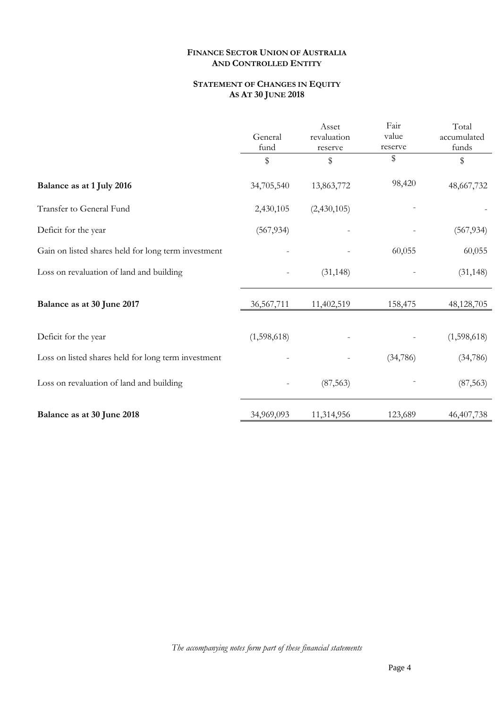## **STATEMENT OF CHANGES IN EQUITY AS AT 30 JUNE 2018**

|                                                     | General<br>fund | Asset<br>revaluation<br>reserve | Fair<br>value<br>reserve | Total<br>accumulated<br>funds |
|-----------------------------------------------------|-----------------|---------------------------------|--------------------------|-------------------------------|
|                                                     | \$              | \$                              | \$                       | \$                            |
| Balance as at 1 July 2016                           | 34,705,540      | 13,863,772                      | 98,420                   | 48,667,732                    |
| Transfer to General Fund                            | 2,430,105       | (2,430,105)                     |                          |                               |
| Deficit for the year                                | (567, 934)      |                                 |                          | (567, 934)                    |
| Gain on listed shares held for long term investment |                 |                                 | 60,055                   | 60,055                        |
| Loss on revaluation of land and building            |                 | (31, 148)                       |                          | (31, 148)                     |
| Balance as at 30 June 2017                          | 36,567,711      | 11,402,519                      | 158,475                  | 48,128,705                    |
| Deficit for the year                                | (1,598,618)     |                                 |                          | (1,598,618)                   |
| Loss on listed shares held for long term investment |                 |                                 | (34, 786)                | (34,786)                      |
| Loss on revaluation of land and building            |                 | (87, 563)                       |                          | (87, 563)                     |
| Balance as at 30 June 2018                          | 34,969,093      | 11,314,956                      | 123,689                  | 46, 407, 738                  |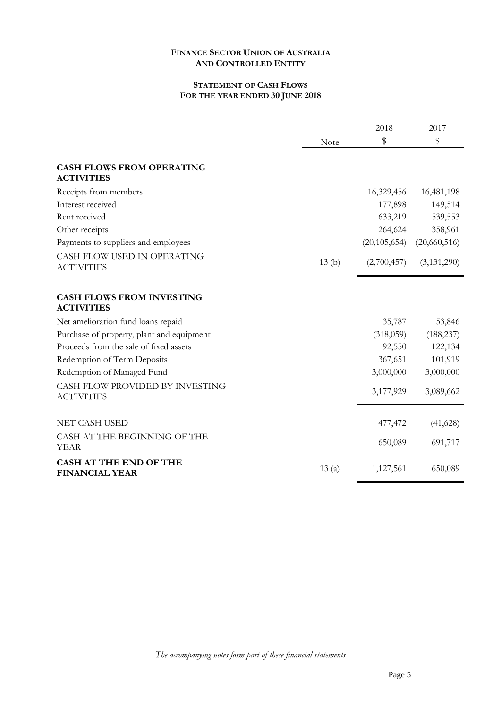## **STATEMENT OF CASH FLOWS FOR THE YEAR ENDED 30 JUNE 2018**

|                                                        |       | 2018           | 2017          |
|--------------------------------------------------------|-------|----------------|---------------|
|                                                        | Note  | \$             | \$            |
| <b>CASH FLOWS FROM OPERATING</b><br><b>ACTIVITIES</b>  |       |                |               |
| Receipts from members                                  |       | 16,329,456     | 16,481,198    |
| Interest received                                      |       | 177,898        | 149,514       |
| Rent received                                          |       | 633,219        | 539,553       |
| Other receipts                                         |       | 264,624        | 358,961       |
| Payments to suppliers and employees                    |       | (20, 105, 654) | (20,660,516)  |
| CASH FLOW USED IN OPERATING<br><b>ACTIVITIES</b>       | 13(b) | (2,700,457)    | (3, 131, 290) |
| <b>CASH FLOWS FROM INVESTING</b><br><b>ACTIVITIES</b>  |       |                |               |
| Net amelioration fund loans repaid                     |       | 35,787         | 53,846        |
| Purchase of property, plant and equipment              |       | (318,059)      | (188, 237)    |
| Proceeds from the sale of fixed assets                 |       | 92,550         | 122,134       |
| Redemption of Term Deposits                            |       | 367,651        | 101,919       |
| Redemption of Managed Fund                             |       | 3,000,000      | 3,000,000     |
| CASH FLOW PROVIDED BY INVESTING<br><b>ACTIVITIES</b>   |       | 3,177,929      | 3,089,662     |
| <b>NET CASH USED</b>                                   |       | 477,472        | (41, 628)     |
| CASH AT THE BEGINNING OF THE<br><b>YEAR</b>            |       | 650,089        | 691,717       |
| <b>CASH AT THE END OF THE</b><br><b>FINANCIAL YEAR</b> | 13(a) | 1,127,561      | 650,089       |

*The accompanying notes form part of these financial statements*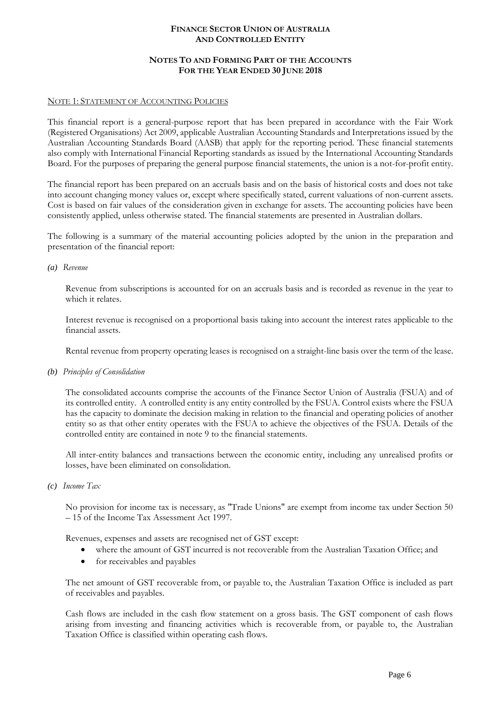## **NOTES TO AND FORMING PART OF THE ACCOUNTS FOR THE YEAR ENDED 30 JUNE 2018**

#### NOTE 1: STATEMENT OF ACCOUNTING POLICIES

This financial report is a general-purpose report that has been prepared in accordance with the Fair Work (Registered Organisations) Act 2009, applicable Australian Accounting Standards and Interpretations issued by the Australian Accounting Standards Board (AASB) that apply for the reporting period. These financial statements also comply with International Financial Reporting standards as issued by the International Accounting Standards Board. For the purposes of preparing the general purpose financial statements, the union is a not-for-profit entity.

The financial report has been prepared on an accruals basis and on the basis of historical costs and does not take into account changing money values or, except where specifically stated, current valuations of non-current assets. Cost is based on fair values of the consideration given in exchange for assets. The accounting policies have been consistently applied, unless otherwise stated. The financial statements are presented in Australian dollars.

The following is a summary of the material accounting policies adopted by the union in the preparation and presentation of the financial report:

#### *(a) Revenue*

Revenue from subscriptions is accounted for on an accruals basis and is recorded as revenue in the year to which it relates.

Interest revenue is recognised on a proportional basis taking into account the interest rates applicable to the financial assets.

Rental revenue from property operating leases is recognised on a straight-line basis over the term of the lease.

*(b) Principles of Consolidation*

The consolidated accounts comprise the accounts of the Finance Sector Union of Australia (FSUA) and of its controlled entity. A controlled entity is any entity controlled by the FSUA. Control exists where the FSUA has the capacity to dominate the decision making in relation to the financial and operating policies of another entity so as that other entity operates with the FSUA to achieve the objectives of the FSUA. Details of the controlled entity are contained in note 9 to the financial statements.

All inter-entity balances and transactions between the economic entity, including any unrealised profits or losses, have been eliminated on consolidation.

#### *(c) Income Tax*

No provision for income tax is necessary, as "Trade Unions" are exempt from income tax under Section 50 – 15 of the Income Tax Assessment Act 1997.

Revenues, expenses and assets are recognised net of GST except:

- where the amount of GST incurred is not recoverable from the Australian Taxation Office; and
- for receivables and payables

The net amount of GST recoverable from, or payable to, the Australian Taxation Office is included as part of receivables and payables.

Cash flows are included in the cash flow statement on a gross basis. The GST component of cash flows arising from investing and financing activities which is recoverable from, or payable to, the Australian Taxation Office is classified within operating cash flows.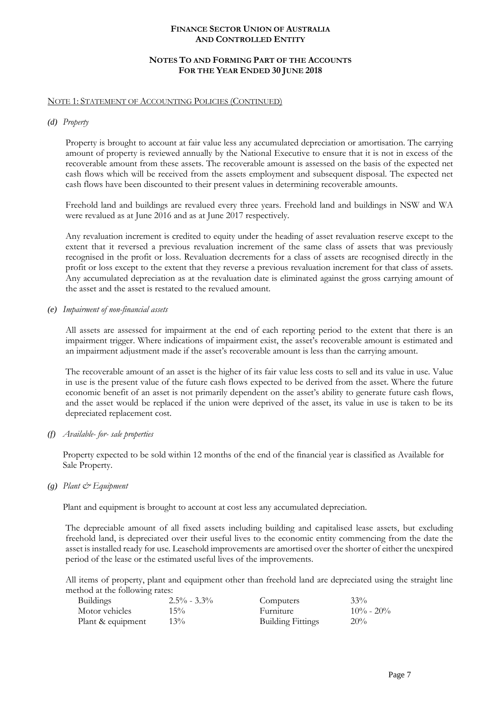## **NOTES TO AND FORMING PART OF THE ACCOUNTS FOR THE YEAR ENDED 30 JUNE 2018**

#### NOTE 1: STATEMENT OF ACCOUNTING POLICIES (CONTINUED)

#### *(d) Property*

Property is brought to account at fair value less any accumulated depreciation or amortisation. The carrying amount of property is reviewed annually by the National Executive to ensure that it is not in excess of the recoverable amount from these assets. The recoverable amount is assessed on the basis of the expected net cash flows which will be received from the assets employment and subsequent disposal. The expected net cash flows have been discounted to their present values in determining recoverable amounts.

Freehold land and buildings are revalued every three years. Freehold land and buildings in NSW and WA were revalued as at June 2016 and as at June 2017 respectively.

Any revaluation increment is credited to equity under the heading of asset revaluation reserve except to the extent that it reversed a previous revaluation increment of the same class of assets that was previously recognised in the profit or loss. Revaluation decrements for a class of assets are recognised directly in the profit or loss except to the extent that they reverse a previous revaluation increment for that class of assets. Any accumulated depreciation as at the revaluation date is eliminated against the gross carrying amount of the asset and the asset is restated to the revalued amount.

#### *(e) Impairment of non-financial assets*

All assets are assessed for impairment at the end of each reporting period to the extent that there is an impairment trigger. Where indications of impairment exist, the asset's recoverable amount is estimated and an impairment adjustment made if the asset's recoverable amount is less than the carrying amount.

The recoverable amount of an asset is the higher of its fair value less costs to sell and its value in use. Value in use is the present value of the future cash flows expected to be derived from the asset. Where the future economic benefit of an asset is not primarily dependent on the asset's ability to generate future cash flows, and the asset would be replaced if the union were deprived of the asset, its value in use is taken to be its depreciated replacement cost.

*(f) Available- for- sale properties*

Property expected to be sold within 12 months of the end of the financial year is classified as Available for Sale Property.

*(g) Plant & Equipment*

Plant and equipment is brought to account at cost less any accumulated depreciation.

The depreciable amount of all fixed assets including building and capitalised lease assets, but excluding freehold land, is depreciated over their useful lives to the economic entity commencing from the date the asset is installed ready for use. Leasehold improvements are amortised over the shorter of either the unexpired period of the lease or the estimated useful lives of the improvements.

All items of property, plant and equipment other than freehold land are depreciated using the straight line method at the following rates:

| <b>Buildings</b>  | $2.5\% - 3.3\%$ | Computers                | $33\%$        |
|-------------------|-----------------|--------------------------|---------------|
| Motor vehicles    | $15\%$          | Furniture                | $10\% - 20\%$ |
| Plant & equipment | $13\%$          | <b>Building Fittings</b> | $20\%$        |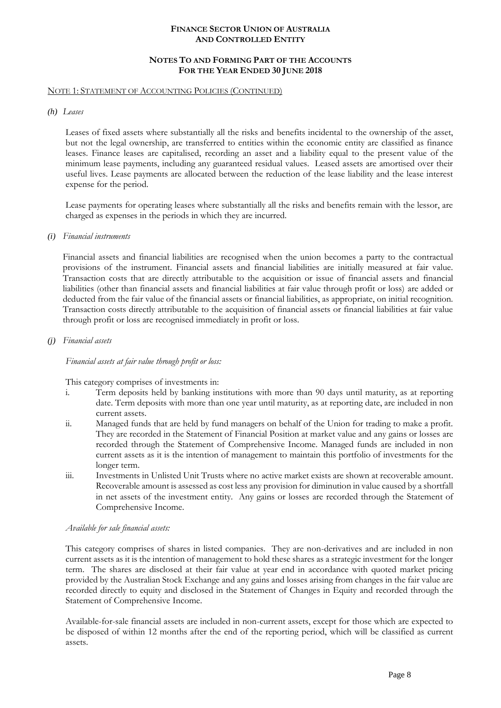#### **NOTES TO AND FORMING PART OF THE ACCOUNTS FOR THE YEAR ENDED 30 JUNE 2018**

#### NOTE 1: STATEMENT OF ACCOUNTING POLICIES (CONTINUED)

#### *(h) Leases*

Leases of fixed assets where substantially all the risks and benefits incidental to the ownership of the asset, but not the legal ownership, are transferred to entities within the economic entity are classified as finance leases. Finance leases are capitalised, recording an asset and a liability equal to the present value of the minimum lease payments, including any guaranteed residual values. Leased assets are amortised over their useful lives. Lease payments are allocated between the reduction of the lease liability and the lease interest expense for the period.

Lease payments for operating leases where substantially all the risks and benefits remain with the lessor, are charged as expenses in the periods in which they are incurred.

#### *(i) Financial instruments*

Financial assets and financial liabilities are recognised when the union becomes a party to the contractual provisions of the instrument. Financial assets and financial liabilities are initially measured at fair value. Transaction costs that are directly attributable to the acquisition or issue of financial assets and financial liabilities (other than financial assets and financial liabilities at fair value through profit or loss) are added or deducted from the fair value of the financial assets or financial liabilities, as appropriate, on initial recognition. Transaction costs directly attributable to the acquisition of financial assets or financial liabilities at fair value through profit or loss are recognised immediately in profit or loss.

#### *(j) Financial assets*

#### *Financial assets at fair value through profit or loss:*

#### This category comprises of investments in:

- i. Term deposits held by banking institutions with more than 90 days until maturity, as at reporting date. Term deposits with more than one year until maturity, as at reporting date, are included in non current assets.
- ii. Managed funds that are held by fund managers on behalf of the Union for trading to make a profit. They are recorded in the Statement of Financial Position at market value and any gains or losses are recorded through the Statement of Comprehensive Income. Managed funds are included in non current assets as it is the intention of management to maintain this portfolio of investments for the longer term.
- iii. Investments in Unlisted Unit Trusts where no active market exists are shown at recoverable amount. Recoverable amount is assessed as cost less any provision for diminution in value caused by a shortfall in net assets of the investment entity. Any gains or losses are recorded through the Statement of Comprehensive Income.

#### *Available for sale financial assets:*

This category comprises of shares in listed companies. They are non-derivatives and are included in non current assets as it is the intention of management to hold these shares as a strategic investment for the longer term. The shares are disclosed at their fair value at year end in accordance with quoted market pricing provided by the Australian Stock Exchange and any gains and losses arising from changes in the fair value are recorded directly to equity and disclosed in the Statement of Changes in Equity and recorded through the Statement of Comprehensive Income.

Available-for-sale financial assets are included in non-current assets, except for those which are expected to be disposed of within 12 months after the end of the reporting period, which will be classified as current assets.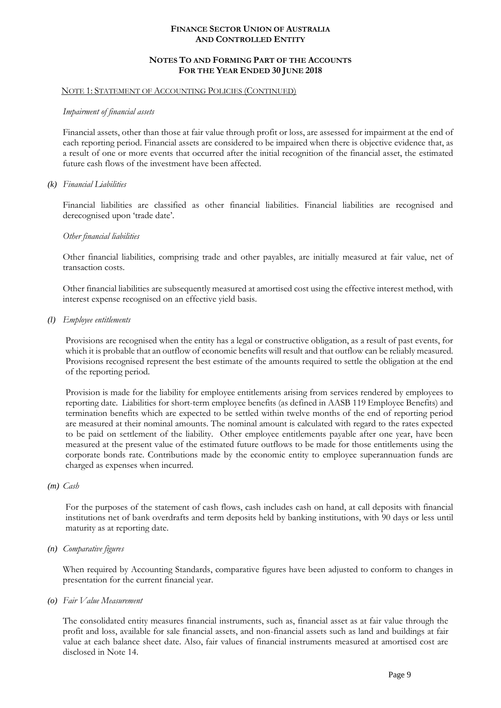#### **NOTES TO AND FORMING PART OF THE ACCOUNTS FOR THE YEAR ENDED 30 JUNE 2018**

#### NOTE 1: STATEMENT OF ACCOUNTING POLICIES (CONTINUED)

#### *Impairment of financial assets*

Financial assets, other than those at fair value through profit or loss, are assessed for impairment at the end of each reporting period. Financial assets are considered to be impaired when there is objective evidence that, as a result of one or more events that occurred after the initial recognition of the financial asset, the estimated future cash flows of the investment have been affected.

#### *(k) Financial Liabilities*

Financial liabilities are classified as other financial liabilities. Financial liabilities are recognised and derecognised upon 'trade date'.

#### *Other financial liabilities*

Other financial liabilities, comprising trade and other payables, are initially measured at fair value, net of transaction costs.

Other financial liabilities are subsequently measured at amortised cost using the effective interest method, with interest expense recognised on an effective yield basis.

*(l) Employee entitlements*

Provisions are recognised when the entity has a legal or constructive obligation, as a result of past events, for which it is probable that an outflow of economic benefits will result and that outflow can be reliably measured. Provisions recognised represent the best estimate of the amounts required to settle the obligation at the end of the reporting period.

Provision is made for the liability for employee entitlements arising from services rendered by employees to reporting date. Liabilities for short-term employee benefits (as defined in AASB 119 Employee Benefits) and termination benefits which are expected to be settled within twelve months of the end of reporting period are measured at their nominal amounts. The nominal amount is calculated with regard to the rates expected to be paid on settlement of the liability. Other employee entitlements payable after one year, have been measured at the present value of the estimated future outflows to be made for those entitlements using the corporate bonds rate. Contributions made by the economic entity to employee superannuation funds are charged as expenses when incurred.

#### *(m) Cash*

For the purposes of the statement of cash flows, cash includes cash on hand, at call deposits with financial institutions net of bank overdrafts and term deposits held by banking institutions, with 90 days or less until maturity as at reporting date.

#### *(n) Comparative figures*

When required by Accounting Standards, comparative figures have been adjusted to conform to changes in presentation for the current financial year.

#### *(o) Fair Value Measurement*

The consolidated entity measures financial instruments, such as, financial asset as at fair value through the profit and loss, available for sale financial assets, and non-financial assets such as land and buildings at fair value at each balance sheet date. Also, fair values of financial instruments measured at amortised cost are disclosed in Note 14.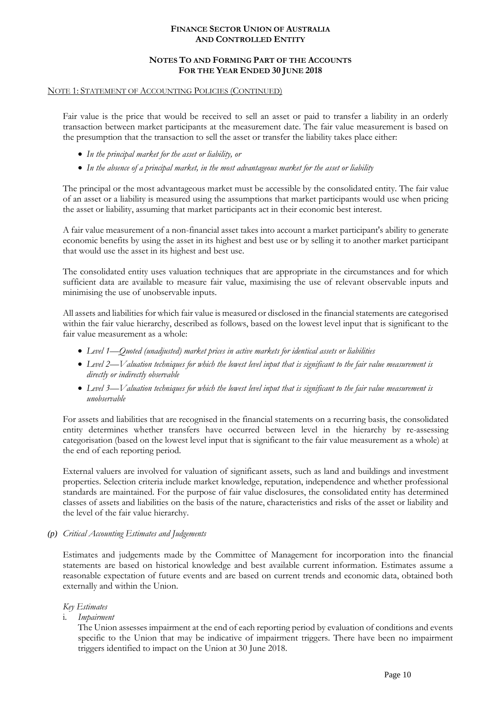#### **NOTES TO AND FORMING PART OF THE ACCOUNTS FOR THE YEAR ENDED 30 JUNE 2018**

## NOTE 1: STATEMENT OF ACCOUNTING POLICIES (CONTINUED)

Fair value is the price that would be received to sell an asset or paid to transfer a liability in an orderly transaction between market participants at the measurement date. The fair value measurement is based on the presumption that the transaction to sell the asset or transfer the liability takes place either:

- *In the principal market for the asset or liability, or*
- *In the absence of a principal market, in the most advantageous market for the asset or liability*

The principal or the most advantageous market must be accessible by the consolidated entity. The fair value of an asset or a liability is measured using the assumptions that market participants would use when pricing the asset or liability, assuming that market participants act in their economic best interest.

A fair value measurement of a non-financial asset takes into account a market participant's ability to generate economic benefits by using the asset in its highest and best use or by selling it to another market participant that would use the asset in its highest and best use.

The consolidated entity uses valuation techniques that are appropriate in the circumstances and for which sufficient data are available to measure fair value, maximising the use of relevant observable inputs and minimising the use of unobservable inputs.

All assets and liabilities for which fair value is measured or disclosed in the financial statements are categorised within the fair value hierarchy, described as follows, based on the lowest level input that is significant to the fair value measurement as a whole:

- *Level 1—Quoted (unadjusted) market prices in active markets for identical assets or liabilities*
- *Level 2—Valuation techniques for which the lowest level input that is significant to the fair value measurement is directly or indirectly observable*
- *Level 3—Valuation techniques for which the lowest level input that is significant to the fair value measurement is unobservable*

For assets and liabilities that are recognised in the financial statements on a recurring basis, the consolidated entity determines whether transfers have occurred between level in the hierarchy by re-assessing categorisation (based on the lowest level input that is significant to the fair value measurement as a whole) at the end of each reporting period.

External valuers are involved for valuation of significant assets, such as land and buildings and investment properties. Selection criteria include market knowledge, reputation, independence and whether professional standards are maintained. For the purpose of fair value disclosures, the consolidated entity has determined classes of assets and liabilities on the basis of the nature, characteristics and risks of the asset or liability and the level of the fair value hierarchy.

#### *(p) Critical Accounting Estimates and Judgements*

Estimates and judgements made by the Committee of Management for incorporation into the financial statements are based on historical knowledge and best available current information. Estimates assume a reasonable expectation of future events and are based on current trends and economic data, obtained both externally and within the Union.

#### *Key Estimates*

i. *Impairment*

The Union assesses impairment at the end of each reporting period by evaluation of conditions and events specific to the Union that may be indicative of impairment triggers. There have been no impairment triggers identified to impact on the Union at 30 June 2018.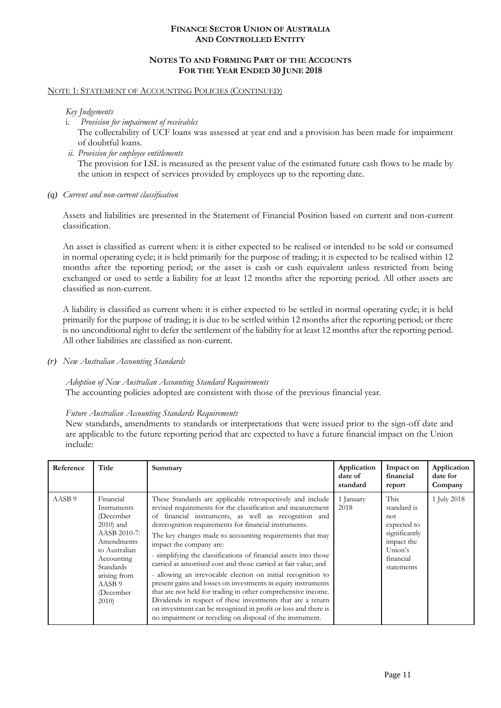#### **NOTES TO AND FORMING PART OF THE ACCOUNTS FOR THE YEAR ENDED 30 JUNE 2018**

## NOTE 1: STATEMENT OF ACCOUNTING POLICIES (CONTINUED)

#### *Key Judgements*

i. *Provision for impairment of receivables*

The collectability of UCF loans was assessed at year end and a provision has been made for impairment of doubtful loans.

*ii. Provision for employee entitlements*

The provision for LSL is measured as the present value of the estimated future cash flows to be made by the union in respect of services provided by employees up to the reporting date.

#### *(q) Current and non-current classification*

Assets and liabilities are presented in the Statement of Financial Position based on current and non-current classification.

An asset is classified as current when: it is either expected to be realised or intended to be sold or consumed in normal operating cycle; it is held primarily for the purpose of trading; it is expected to be realised within 12 months after the reporting period; or the asset is cash or cash equivalent unless restricted from being exchanged or used to settle a liability for at least 12 months after the reporting period. All other assets are classified as non-current.

A liability is classified as current when: it is either expected to be settled in normal operating cycle; it is held primarily for the purpose of trading; it is due to be settled within 12 months after the reporting period; or there is no unconditional right to defer the settlement of the liability for at least 12 months after the reporting period. All other liabilities are classified as non-current.

*(r) New Australian Accounting Standards*

*Adoption of New Australian Accounting Standard Requirements*

The accounting policies adopted are consistent with those of the previous financial year.

## *Future Australian Accounting Standards Requirements*

New standards, amendments to standards or interpretations that were issued prior to the sign-off date and are applicable to the future reporting period that are expected to have a future financial impact on the Union include:

| Reference         | Title                                                                                                                                                                          | Summary                                                                                                                                                                                                                                                                                                                                                                                                                                                                                                                                                                                                                                                                                                                                                                                                                                                                | Application<br>date of<br>standard | Impact on<br>financial<br>report                                                                               | Application<br>date for<br>Company |
|-------------------|--------------------------------------------------------------------------------------------------------------------------------------------------------------------------------|------------------------------------------------------------------------------------------------------------------------------------------------------------------------------------------------------------------------------------------------------------------------------------------------------------------------------------------------------------------------------------------------------------------------------------------------------------------------------------------------------------------------------------------------------------------------------------------------------------------------------------------------------------------------------------------------------------------------------------------------------------------------------------------------------------------------------------------------------------------------|------------------------------------|----------------------------------------------------------------------------------------------------------------|------------------------------------|
| AASB <sub>9</sub> | Financial<br>Instruments<br>(December<br>$2010$ ) and<br>AASB 2010-7:<br>Amendments<br>to Australian<br>Accounting<br>Standards<br>arising from<br>AASB 9<br>(December<br>2010 | These Standards are applicable retrospectively and include<br>revised requirements for the classification and measurement<br>of financial instruments, as well as recognition and<br>derecognition requirements for financial instruments.<br>The key changes made to accounting requirements that may<br>impact the company are:<br>- simplifying the classifications of financial assets into those<br>carried at amortised cost and those carried at fair value; and<br>- allowing an irrevocable election on initial recognition to<br>present gains and losses on investments in equity instruments<br>that are not held for trading in other comprehensive income.<br>Dividends in respect of these investments that are a return<br>on investment can be recognised in profit or loss and there is<br>no impairment or recycling on disposal of the instrument. | 1 January<br>2018                  | This<br>standard is<br>not<br>expected to<br>significantly<br>impact the<br>Union's<br>financial<br>statements | 1 July 2018                        |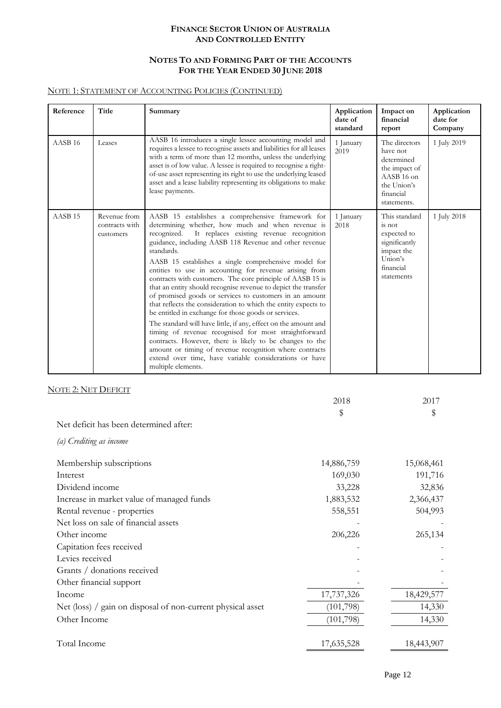## **NOTES TO AND FORMING PART OF THE ACCOUNTS FOR THE YEAR ENDED 30 JUNE 2018**

## NOTE 1: STATEMENT OF ACCOUNTING POLICIES (CONTINUED)

| Reference          | <b>Title</b>                                | Summary                                                                                                                                                                                                                                                                                                                                                                                                                                                                                                                                                                                                                                                                                                                                                                                                                                                                                                                                                                                                             | Application<br>date of<br>standard | Impact on<br>financial<br>report                                                                                             | Application<br>date for<br>Company |
|--------------------|---------------------------------------------|---------------------------------------------------------------------------------------------------------------------------------------------------------------------------------------------------------------------------------------------------------------------------------------------------------------------------------------------------------------------------------------------------------------------------------------------------------------------------------------------------------------------------------------------------------------------------------------------------------------------------------------------------------------------------------------------------------------------------------------------------------------------------------------------------------------------------------------------------------------------------------------------------------------------------------------------------------------------------------------------------------------------|------------------------------------|------------------------------------------------------------------------------------------------------------------------------|------------------------------------|
| AASB <sub>16</sub> | Leases                                      | AASB 16 introduces a single lessee accounting model and<br>requires a lessee to recognise assets and liabilities for all leases<br>with a term of more than 12 months, unless the underlying<br>asset is of low value. A lessee is required to recognise a right-<br>of-use asset representing its right to use the underlying leased<br>asset and a lease liability representing its obligations to make<br>lease payments.                                                                                                                                                                                                                                                                                                                                                                                                                                                                                                                                                                                        | 1 January<br>2019                  | The directors<br>have not<br>determined<br>the impact of<br>AASB <sub>16</sub> on<br>the Union's<br>financial<br>statements. | 1 July 2019                        |
| AASB <sub>15</sub> | Revenue from<br>contracts with<br>customers | AASB 15 establishes a comprehensive framework for<br>determining whether, how much and when revenue is<br>It replaces existing revenue recognition<br>recognized.<br>guidance, including AASB 118 Revenue and other revenue<br>standards.<br>AASB 15 establishes a single comprehensive model for<br>entities to use in accounting for revenue arising from<br>contracts with customers. The core principle of AASB 15 is<br>that an entity should recognise revenue to depict the transfer<br>of promised goods or services to customers in an amount<br>that reflects the consideration to which the entity expects to<br>be entitled in exchange for those goods or services.<br>The standard will have little, if any, effect on the amount and<br>timing of revenue recognised for most straightforward<br>contracts. However, there is likely to be changes to the<br>amount or timing of revenue recognition where contracts<br>extend over time, have variable considerations or have<br>multiple elements. | 1 January<br>2018                  | This standard<br>is not<br>expected to<br>significantly<br>impact the<br>Union's<br>financial<br>statements                  | 1 July 2018                        |

#### NOTE 2: NET DEFICIT

|                                                             | 2018       | 2017       |
|-------------------------------------------------------------|------------|------------|
|                                                             | \$         | \$         |
| Net deficit has been determined after:                      |            |            |
| (a) Crediting as income                                     |            |            |
| Membership subscriptions                                    | 14,886,759 | 15,068,461 |
| Interest                                                    | 169,030    | 191,716    |
| Dividend income                                             | 33,228     | 32,836     |
| Increase in market value of managed funds                   | 1,883,532  | 2,366,437  |
| Rental revenue - properties                                 | 558,551    | 504,993    |
| Net loss on sale of financial assets                        |            |            |
| Other income                                                | 206,226    | 265,134    |
| Capitation fees received                                    |            |            |
| Levies received                                             |            |            |
| Grants / donations received                                 |            |            |
| Other financial support                                     |            |            |
| Income                                                      | 17,737,326 | 18,429,577 |
| Net (loss) / gain on disposal of non-current physical asset | (101, 798) | 14,330     |
| Other Income                                                | (101,798)  | 14,330     |
| Total Income                                                | 17,635,528 | 18,443,907 |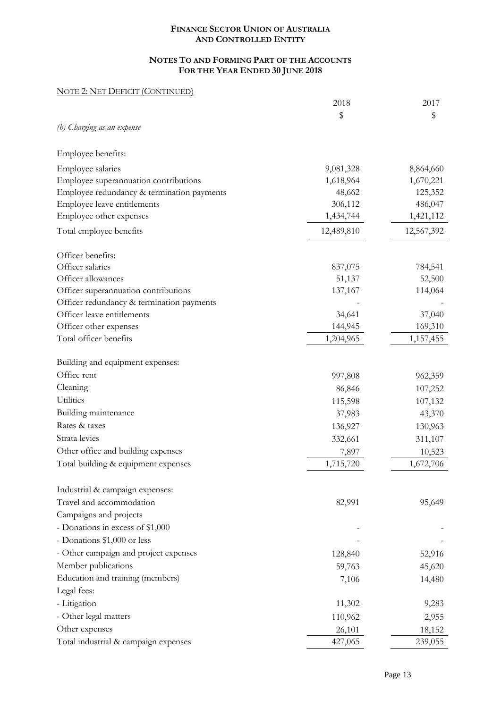## **NOTES TO AND FORMING PART OF THE ACCOUNTS FOR THE YEAR ENDED 30 JUNE 2018**

## NOTE 2: NET DEFICIT (CONTINUED)

|                                            | 2018       | 2017       |
|--------------------------------------------|------------|------------|
|                                            | \$         | \$         |
| (b) Charging as an expense                 |            |            |
| Employee benefits:                         |            |            |
| Employee salaries                          | 9,081,328  | 8,864,660  |
| Employee superannuation contributions      | 1,618,964  | 1,670,221  |
| Employee redundancy & termination payments | 48,662     | 125,352    |
| Employee leave entitlements                | 306,112    | 486,047    |
| Employee other expenses                    | 1,434,744  | 1,421,112  |
| Total employee benefits                    | 12,489,810 | 12,567,392 |
| Officer benefits:                          |            |            |
| Officer salaries                           | 837,075    | 784,541    |
| Officer allowances                         | 51,137     | 52,500     |
| Officer superannuation contributions       | 137,167    | 114,064    |
| Officer redundancy & termination payments  |            |            |
| Officer leave entitlements                 | 34,641     | 37,040     |
| Officer other expenses                     | 144,945    | 169,310    |
| Total officer benefits                     | 1,204,965  | 1,157,455  |
| Building and equipment expenses:           |            |            |
| Office rent                                | 997,808    | 962,359    |
| Cleaning                                   | 86,846     | 107,252    |
| Utilities                                  | 115,598    | 107,132    |
| Building maintenance                       | 37,983     | 43,370     |
| Rates & taxes                              | 136,927    | 130,963    |
| Strata levies                              | 332,661    | 311,107    |
| Other office and building expenses         | 7,897      | 10,523     |
| Total building & equipment expenses        | 1,715,720  | 1,672,706  |
| Industrial & campaign expenses:            |            |            |
| Travel and accommodation                   | 82,991     | 95,649     |
| Campaigns and projects                     |            |            |
| - Donations in excess of \$1,000           |            |            |
| - Donations \$1,000 or less                |            |            |
| - Other campaign and project expenses      | 128,840    | 52,916     |
| Member publications                        | 59,763     | 45,620     |
| Education and training (members)           | 7,106      | 14,480     |
| Legal fees:                                |            |            |
| - Litigation                               | 11,302     | 9,283      |
| - Other legal matters                      | 110,962    | 2,955      |
| Other expenses                             | 26,101     | 18,152     |
| Total industrial & campaign expenses       | 427,065    | 239,055    |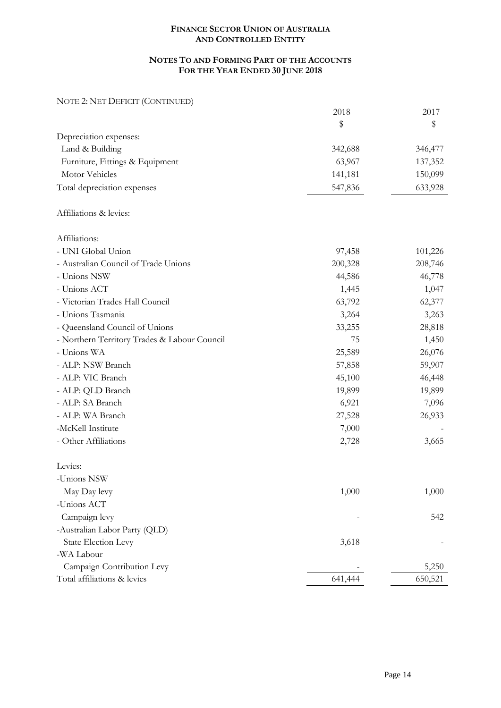## **NOTES TO AND FORMING PART OF THE ACCOUNTS FOR THE YEAR ENDED 30 JUNE 2018**

## NOTE 2: NET DEFICIT (CONTINUED)

|                                              | 2018    | 2017    |
|----------------------------------------------|---------|---------|
|                                              | \$      | \$      |
| Depreciation expenses:                       |         |         |
| Land & Building                              | 342,688 | 346,477 |
| Furniture, Fittings & Equipment              | 63,967  | 137,352 |
| Motor Vehicles                               | 141,181 | 150,099 |
| Total depreciation expenses                  | 547,836 | 633,928 |
| Affiliations & levies:                       |         |         |
| Affiliations:                                |         |         |
| - UNI Global Union                           | 97,458  | 101,226 |
| - Australian Council of Trade Unions         | 200,328 | 208,746 |
| - Unions NSW                                 | 44,586  | 46,778  |
| - Unions ACT                                 | 1,445   | 1,047   |
| - Victorian Trades Hall Council              | 63,792  | 62,377  |
| - Unions Tasmania                            | 3,264   | 3,263   |
| - Queensland Council of Unions               | 33,255  | 28,818  |
| - Northern Territory Trades & Labour Council | 75      | 1,450   |
| - Unions WA                                  | 25,589  | 26,076  |
| - ALP: NSW Branch                            | 57,858  | 59,907  |
| - ALP: VIC Branch                            | 45,100  | 46,448  |
| - ALP: QLD Branch                            | 19,899  | 19,899  |
| - ALP: SA Branch                             | 6,921   | 7,096   |
| - ALP: WA Branch                             | 27,528  | 26,933  |
| -McKell Institute                            | 7,000   |         |
| - Other Affiliations                         | 2,728   | 3,665   |
| Levies:                                      |         |         |
| -Unions NSW<br>May Day levy                  | 1,000   | 1,000   |
| -Unions ACT                                  |         |         |
| Campaign levy                                |         | 542     |
| -Australian Labor Party (QLD)                |         |         |
| <b>State Election Levy</b>                   | 3,618   |         |
| -WA Labour                                   |         |         |
| Campaign Contribution Levy                   |         | 5,250   |
| Total affiliations & levies                  | 641,444 | 650,521 |
|                                              |         |         |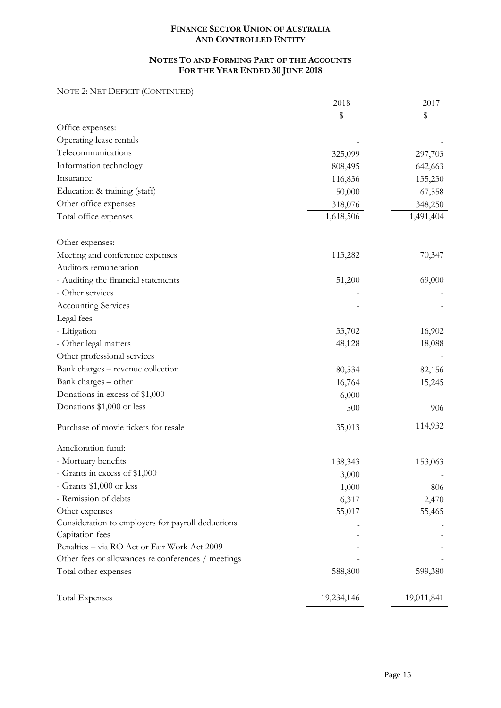## **NOTES TO AND FORMING PART OF THE ACCOUNTS FOR THE YEAR ENDED 30 JUNE 2018**

## NOTE 2: NET DEFICIT (CONTINUED)

|                                                    | 2018       | 2017       |
|----------------------------------------------------|------------|------------|
|                                                    | \$         | \$         |
| Office expenses:                                   |            |            |
| Operating lease rentals                            |            |            |
| Telecommunications                                 | 325,099    | 297,703    |
| Information technology                             | 808,495    | 642,663    |
| Insurance                                          | 116,836    | 135,230    |
| Education & training (staff)                       | 50,000     | 67,558     |
| Other office expenses                              | 318,076    | 348,250    |
| Total office expenses                              | 1,618,506  | 1,491,404  |
| Other expenses:                                    |            |            |
| Meeting and conference expenses                    | 113,282    | 70,347     |
| Auditors remuneration                              |            |            |
| - Auditing the financial statements                | 51,200     | 69,000     |
| - Other services                                   |            |            |
| <b>Accounting Services</b>                         |            |            |
| Legal fees                                         |            |            |
| - Litigation                                       | 33,702     | 16,902     |
| - Other legal matters                              | 48,128     | 18,088     |
| Other professional services                        |            |            |
| Bank charges - revenue collection                  | 80,534     | 82,156     |
| Bank charges - other                               | 16,764     | 15,245     |
| Donations in excess of \$1,000                     | 6,000      |            |
| Donations \$1,000 or less                          | 500        | 906        |
| Purchase of movie tickets for resale               | 35,013     | 114,932    |
| Amelioration fund:                                 |            |            |
| - Mortuary benefits                                | 138,343    | 153,063    |
| - Grants in excess of \$1,000                      | 3,000      |            |
| - Grants \$1,000 or less                           | 1,000      | 806        |
| - Remission of debts                               | 6,317      | 2,470      |
| Other expenses                                     | 55,017     | 55,465     |
| Consideration to employers for payroll deductions  |            |            |
| Capitation fees                                    |            |            |
| Penalties - via RO Act or Fair Work Act 2009       |            |            |
| Other fees or allowances re conferences / meetings |            |            |
| Total other expenses                               | 588,800    | 599,380    |
| <b>Total Expenses</b>                              | 19,234,146 | 19,011,841 |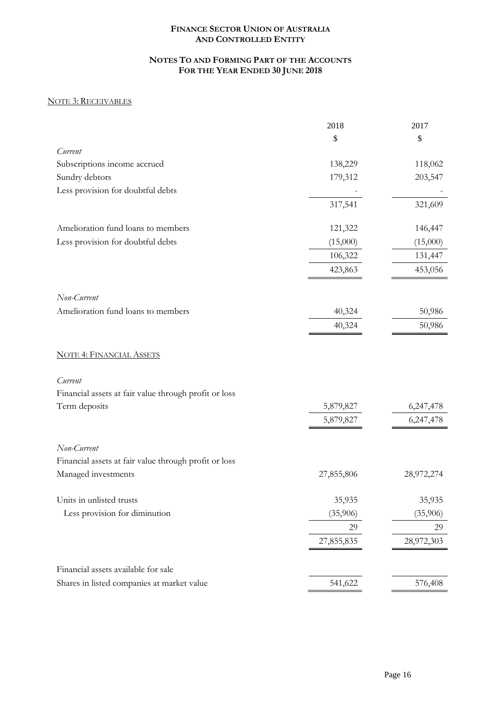## **NOTES TO AND FORMING PART OF THE ACCOUNTS FOR THE YEAR ENDED 30 JUNE 2018**

## NOTE 3: RECEIVABLES

|                                                       | 2018       | 2017       |
|-------------------------------------------------------|------------|------------|
|                                                       | \$         | \$         |
| Current                                               |            |            |
| Subscriptions income accrued                          | 138,229    | 118,062    |
| Sundry debtors                                        | 179,312    | 203,547    |
| Less provision for doubtful debts                     |            |            |
|                                                       | 317,541    | 321,609    |
| Amelioration fund loans to members                    | 121,322    | 146,447    |
| Less provision for doubtful debts                     | (15,000)   | (15,000)   |
|                                                       | 106,322    | 131,447    |
|                                                       | 423,863    | 453,056    |
| Non-Current                                           |            |            |
| Amelioration fund loans to members                    | 40,324     | 50,986     |
|                                                       | 40,324     | 50,986     |
| <b>NOTE 4: FINANCIAL ASSETS</b><br>Current            |            |            |
| Financial assets at fair value through profit or loss |            |            |
| Term deposits                                         | 5,879,827  | 6,247,478  |
|                                                       | 5,879,827  | 6,247,478  |
| Non-Current                                           |            |            |
| Financial assets at fair value through profit or loss |            |            |
| Managed investments                                   | 27,855,806 | 28,972,274 |
| Units in unlisted trusts                              | 35,935     | 35,935     |
| Less provision for diminution                         | (35,906)   | (35,906)   |
|                                                       | 29         | 29         |
|                                                       | 27,855,835 | 28,972,303 |
| Financial assets available for sale                   |            |            |
| Shares in listed companies at market value            | 541,622    | 576,408    |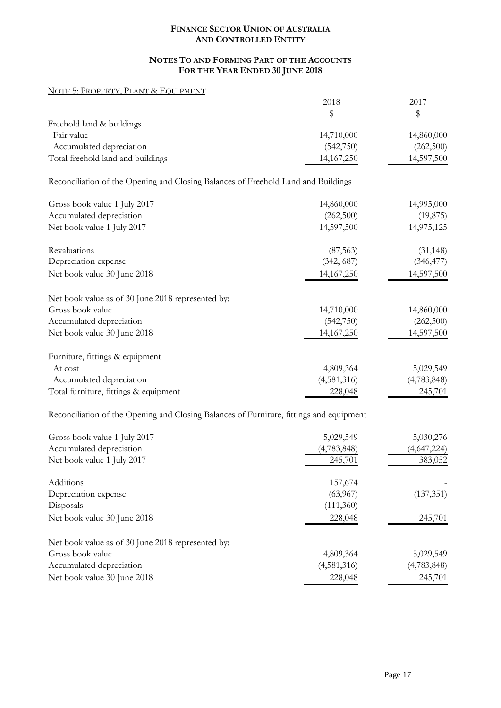## **NOTES TO AND FORMING PART OF THE ACCOUNTS FOR THE YEAR ENDED 30 JUNE 2018**

## NOTE 5: PROPERTY, PLANT & EQUIPMENT

|                                                                                   | 2018         | 2017       |
|-----------------------------------------------------------------------------------|--------------|------------|
|                                                                                   | \$           | \$         |
| Freehold land & buildings                                                         |              |            |
| Fair value                                                                        | 14,710,000   | 14,860,000 |
| Accumulated depreciation                                                          | (542, 750)   | (262,500)  |
| Total freehold land and buildings                                                 | 14, 167, 250 | 14,597,500 |
| Reconciliation of the Opening and Closing Balances of Freehold Land and Buildings |              |            |

| Gross book value 1 July 2017                      | 14,860,000  | 14,995,000  |
|---------------------------------------------------|-------------|-------------|
| Accumulated depreciation                          | (262,500)   | (19, 875)   |
| Net book value 1 July 2017                        | 14,597,500  | 14,975,125  |
| Revaluations                                      | (87, 563)   | (31, 148)   |
| Depreciation expense                              | (342, 687)  | (346, 477)  |
| Net book value 30 June 2018                       | 14,167,250  | 14,597,500  |
| Net book value as of 30 June 2018 represented by: |             |             |
| Gross book value                                  | 14,710,000  | 14,860,000  |
| Accumulated depreciation                          | (542, 750)  | (262,500)   |
| Net book value 30 June 2018                       | 14,167,250  | 14,597,500  |
| Furniture, fittings & equipment                   |             |             |
| At cost                                           | 4,809,364   | 5,029,549   |
| Accumulated depreciation                          | (4,581,316) | (4,783,848) |
| Total furniture, fittings & equipment             | 228,048     | 245,701     |
|                                                   |             |             |

Reconciliation of the Opening and Closing Balances of Furniture, fittings and equipment

| Gross book value 1 July 2017                      | 5,029,549   | 5,030,276     |
|---------------------------------------------------|-------------|---------------|
| Accumulated depreciation                          | (4,783,848) | (4, 647, 224) |
| Net book value 1 July 2017                        | 245,701     | 383,052       |
| Additions                                         | 157,674     |               |
| Depreciation expense                              | (63,967)    | (137, 351)    |
| Disposals                                         | (111, 360)  |               |
| Net book value 30 June 2018                       | 228,048     | 245,701       |
| Net book value as of 30 June 2018 represented by: |             |               |
| Gross book value                                  | 4,809,364   | 5,029,549     |
| Accumulated depreciation                          | (4,581,316) | (4,783,848)   |
| Net book value 30 June 2018                       | 228,048     | 245,701       |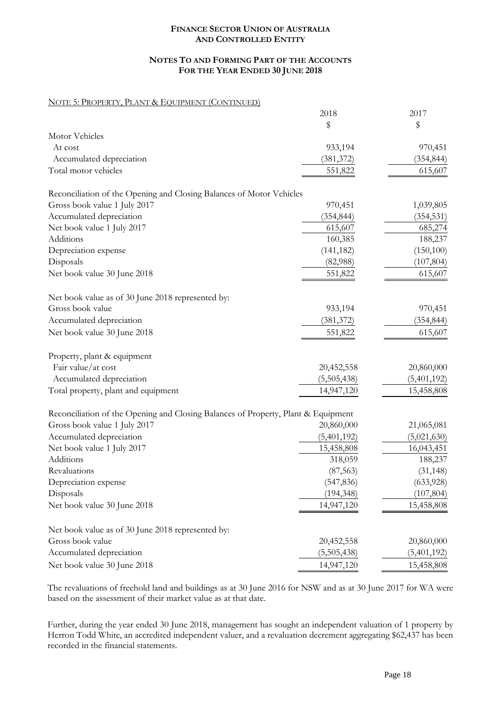## **NOTES TO AND FORMING PART OF THE ACCOUNTS FOR THE YEAR ENDED 30 JUNE 2018**

## NOTE 5: PROPERTY, PLANT & EQUIPMENT (CONTINUED)

|                                                                                   | 2018        | 2017        |
|-----------------------------------------------------------------------------------|-------------|-------------|
|                                                                                   | \$          | \$          |
| Motor Vehicles                                                                    |             |             |
| At cost                                                                           | 933,194     | 970,451     |
| Accumulated depreciation                                                          | (381, 372)  | (354, 844)  |
| Total motor vehicles                                                              | 551,822     | 615,607     |
| Reconciliation of the Opening and Closing Balances of Motor Vehicles              |             |             |
| Gross book value 1 July 2017                                                      | 970,451     | 1,039,805   |
| Accumulated depreciation                                                          | (354, 844)  | (354, 531)  |
| Net book value 1 July 2017                                                        | 615,607     | 685,274     |
| Additions                                                                         | 160,385     | 188,237     |
| Depreciation expense                                                              | (141, 182)  | (150, 100)  |
| Disposals                                                                         | (82,988)    | (107, 804)  |
| Net book value 30 June 2018                                                       | 551,822     | 615,607     |
| Net book value as of 30 June 2018 represented by:                                 |             |             |
| Gross book value                                                                  | 933,194     | 970,451     |
| Accumulated depreciation                                                          | (381, 372)  | (354, 844)  |
| Net book value 30 June 2018                                                       | 551,822     | 615,607     |
| Property, plant & equipment                                                       |             |             |
| Fair value/at cost                                                                | 20,452,558  | 20,860,000  |
| Accumulated depreciation                                                          | (5,505,438) | (5,401,192) |
| Total property, plant and equipment                                               | 14,947,120  | 15,458,808  |
| Reconciliation of the Opening and Closing Balances of Property, Plant & Equipment |             |             |
| Gross book value 1 July 2017                                                      | 20,860,000  | 21,065,081  |
| Accumulated depreciation                                                          | (5,401,192) | (5,021,630) |
| Net book value 1 July 2017                                                        | 15,458,808  | 16,043,451  |
| Additions                                                                         | 318,059     | 188,237     |
| Revaluations                                                                      | (87, 563)   | (31, 148)   |
| Depreciation expense                                                              | (547, 836)  | (633, 928)  |
| Disposals                                                                         | (194, 348)  | (107, 804)  |
| Net book value 30 June 2018                                                       | 14,947,120  | 15,458,808  |
| Net book value as of 30 June 2018 represented by:                                 |             |             |
| Gross book value                                                                  | 20,452,558  | 20,860,000  |
| Accumulated depreciation                                                          | (5,505,438) | (5,401,192) |
| Net book value 30 June 2018                                                       | 14,947,120  | 15,458,808  |

The revaluations of freehold land and buildings as at 30 June 2016 for NSW and as at 30 June 2017 for WA were based on the assessment of their market value as at that date.

Further, during the year ended 30 June 2018, management has sought an independent valuation of 1 property by Herron Todd White, an accredited independent valuer, and a revaluation decrement aggregating \$62,437 has been recorded in the financial statements.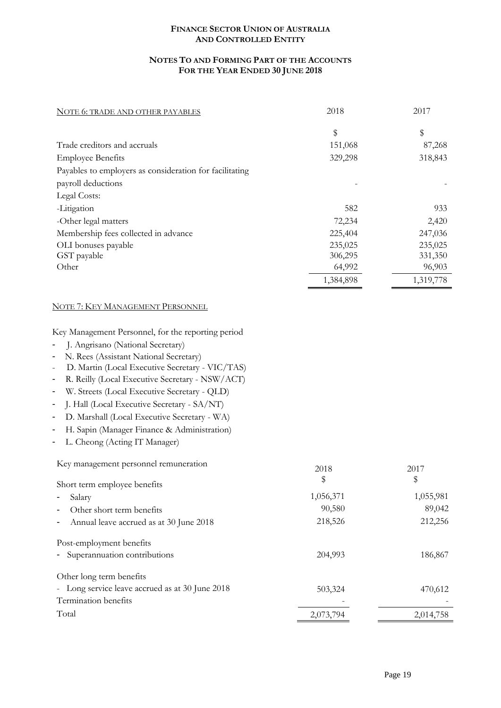## **NOTES TO AND FORMING PART OF THE ACCOUNTS FOR THE YEAR ENDED 30 JUNE 2018**

| NOTE 6: TRADE AND OTHER PAYABLES                        | 2018      | 2017      |
|---------------------------------------------------------|-----------|-----------|
|                                                         | \$        | \$        |
| Trade creditors and accruals                            | 151,068   | 87,268    |
| <b>Employee Benefits</b>                                | 329,298   | 318,843   |
| Payables to employers as consideration for facilitating |           |           |
| payroll deductions                                      |           |           |
| Legal Costs:                                            |           |           |
| -Litigation                                             | 582       | 933       |
| -Other legal matters                                    | 72,234    | 2,420     |
| Membership fees collected in advance                    | 225,404   | 247,036   |
| OLI bonuses payable                                     | 235,025   | 235,025   |
| GST payable                                             | 306,295   | 331,350   |
| Other                                                   | 64,992    | 96,903    |
|                                                         | 1,384,898 | 1,319,778 |

## NOTE 7: KEY MANAGEMENT PERSONNEL

Key Management Personnel, for the reporting period

- J. Angrisano (National Secretary)
- N. Rees (Assistant National Secretary)
- D. Martin (Local Executive Secretary VIC/TAS)
- R. Reilly (Local Executive Secretary NSW/ACT)
- W. Streets (Local Executive Secretary QLD)
- J. Hall (Local Executive Secretary SA/NT)
- D. Marshall (Local Executive Secretary WA)
- H. Sapin (Manager Finance & Administration)
- L. Cheong (Acting IT Manager)

## Key management personnel remuneration

| Key management personnel remuneration           | 2018      | 2017      |
|-------------------------------------------------|-----------|-----------|
| Short term employee benefits                    | \$        | \$        |
| Salary                                          | 1,056,371 | 1,055,981 |
| Other short term benefits                       | 90,580    | 89,042    |
| Annual leave accrued as at 30 June 2018         | 218,526   | 212,256   |
| Post-employment benefits                        |           |           |
| - Superannuation contributions                  | 204,993   | 186,867   |
| Other long term benefits                        |           |           |
| - Long service leave accrued as at 30 June 2018 | 503,324   | 470,612   |
| Termination benefits                            |           |           |
| Total                                           | 2,073,794 | 2,014,758 |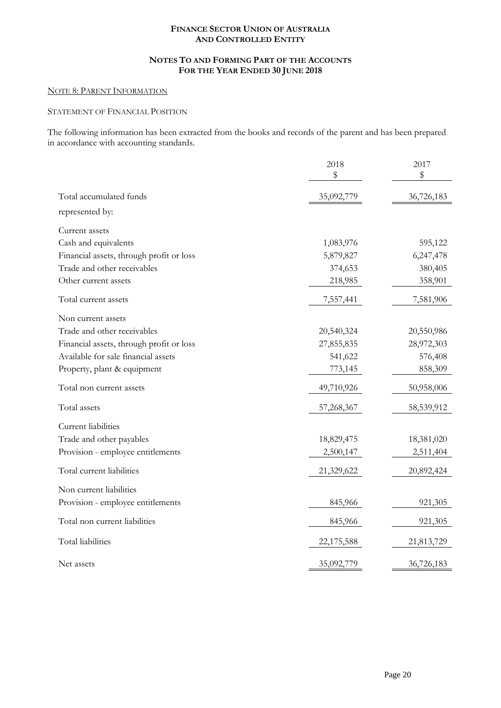## **NOTES TO AND FORMING PART OF THE ACCOUNTS FOR THE YEAR ENDED 30 JUNE 2018**

#### NOTE 8: PARENT INFORMATION

#### STATEMENT OF FINANCIAL POSITION

The following information has been extracted from the books and records of the parent and has been prepared in accordance with accounting standards.

|                                          | 2018<br>\$ | 2017<br>\$ |
|------------------------------------------|------------|------------|
| Total accumulated funds                  | 35,092,779 | 36,726,183 |
| represented by:                          |            |            |
| Current assets                           |            |            |
| Cash and equivalents                     | 1,083,976  | 595,122    |
| Financial assets, through profit or loss | 5,879,827  | 6,247,478  |
| Trade and other receivables              | 374,653    | 380,405    |
| Other current assets                     | 218,985    | 358,901    |
| Total current assets                     | 7,557,441  | 7,581,906  |
| Non current assets                       |            |            |
| Trade and other receivables              | 20,540,324 | 20,550,986 |
| Financial assets, through profit or loss | 27,855,835 | 28,972,303 |
| Available for sale financial assets      | 541,622    | 576,408    |
| Property, plant & equipment              | 773,145    | 858,309    |
| Total non current assets                 | 49,710,926 | 50,958,006 |
| Total assets                             | 57,268,367 | 58,539,912 |
| Current liabilities                      |            |            |
| Trade and other payables                 | 18,829,475 | 18,381,020 |
| Provision - employee entitlements        | 2,500,147  | 2,511,404  |
| Total current liabilities                | 21,329,622 | 20,892,424 |
| Non current liabilities                  |            |            |
| Provision - employee entitlements        | 845,966    | 921,305    |
| Total non current liabilities            | 845,966    | 921,305    |
| Total liabilities                        | 22,175,588 | 21,813,729 |
| Net assets                               | 35,092,779 | 36,726,183 |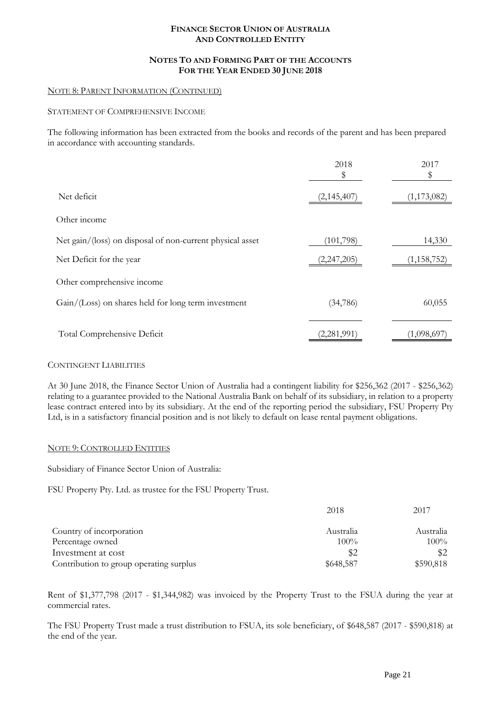### **NOTES TO AND FORMING PART OF THE ACCOUNTS FOR THE YEAR ENDED 30 JUNE 2018**

#### NOTE 8: PARENT INFORMATION (CONTINUED)

#### STATEMENT OF COMPREHENSIVE INCOME

The following information has been extracted from the books and records of the parent and has been prepared in accordance with accounting standards.

|                                                           | 2018<br>\$    | 2017<br>\$    |
|-----------------------------------------------------------|---------------|---------------|
| Net deficit                                               | (2, 145, 407) | (1, 173, 082) |
| Other income                                              |               |               |
| Net gain/(loss) on disposal of non-current physical asset | (101, 798)    | 14,330        |
| Net Deficit for the year                                  | (2,247,205)   | (1, 158, 752) |
| Other comprehensive income                                |               |               |
| Gain/(Loss) on shares held for long term investment       | (34, 786)     | 60,055        |
| Total Comprehensive Deficit                               | (2,281,991)   | (1,098,697)   |

## CONTINGENT LIABILITIES

At 30 June 2018, the Finance Sector Union of Australia had a contingent liability for \$256,362 (2017 - \$256,362) relating to a guarantee provided to the National Australia Bank on behalf of its subsidiary, in relation to a property lease contract entered into by its subsidiary. At the end of the reporting period the subsidiary, FSU Property Pty Ltd, is in a satisfactory financial position and is not likely to default on lease rental payment obligations.

#### NOTE 9: CONTROLLED ENTITIES

Subsidiary of Finance Sector Union of Australia:

FSU Property Pty. Ltd. as trustee for the FSU Property Trust.

|                                         | 2018      | 2017      |
|-----------------------------------------|-----------|-----------|
| Country of incorporation                | Australia | Australia |
| Percentage owned                        | $100\%$   | $100\%$   |
| Investment at cost                      | \$2       |           |
| Contribution to group operating surplus | \$648,587 | \$590,818 |

Rent of \$1,377,798 (2017 - \$1,344,982) was invoiced by the Property Trust to the FSUA during the year at commercial rates.

The FSU Property Trust made a trust distribution to FSUA, its sole beneficiary, of \$648,587 (2017 - \$590,818) at the end of the year.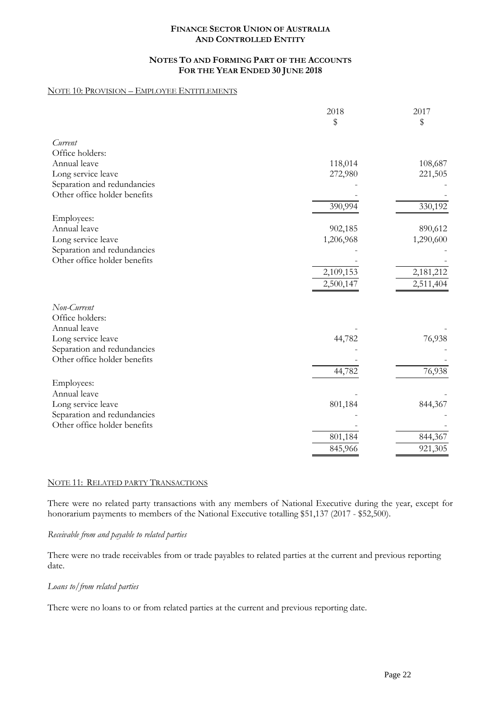#### **NOTES TO AND FORMING PART OF THE ACCOUNTS FOR THE YEAR ENDED 30 JUNE 2018**

#### NOTE 10: PROVISION – EMPLOYEE ENTITLEMENTS

|                              | 2018      | 2017      |
|------------------------------|-----------|-----------|
|                              | \$        | \$        |
| Current                      |           |           |
| Office holders:              |           |           |
| Annual leave                 | 118,014   | 108,687   |
| Long service leave           | 272,980   | 221,505   |
| Separation and redundancies  |           |           |
| Other office holder benefits |           |           |
|                              | 390,994   | 330,192   |
| Employees:                   |           |           |
| Annual leave                 | 902,185   | 890,612   |
| Long service leave           | 1,206,968 | 1,290,600 |
| Separation and redundancies  |           |           |
| Other office holder benefits |           |           |
|                              | 2,109,153 | 2,181,212 |
|                              | 2,500,147 | 2,511,404 |
|                              |           |           |
| Non-Current                  |           |           |
| Office holders:              |           |           |
| Annual leave                 |           |           |
| Long service leave           | 44,782    | 76,938    |
| Separation and redundancies  |           |           |
| Other office holder benefits |           |           |
|                              | 44,782    | 76,938    |
| Employees:                   |           |           |
| Annual leave                 |           |           |
| Long service leave           | 801,184   | 844,367   |
| Separation and redundancies  |           |           |
| Other office holder benefits |           |           |
|                              | 801,184   | 844,367   |
|                              |           |           |
|                              | 845,966   | 921,305   |

#### NOTE 11: RELATED PARTY TRANSACTIONS

There were no related party transactions with any members of National Executive during the year, except for honorarium payments to members of the National Executive totalling \$51,137 (2017 - \$52,500).

#### *Receivable from and payable to related parties*

There were no trade receivables from or trade payables to related parties at the current and previous reporting date.

#### *Loans to/from related parties*

There were no loans to or from related parties at the current and previous reporting date.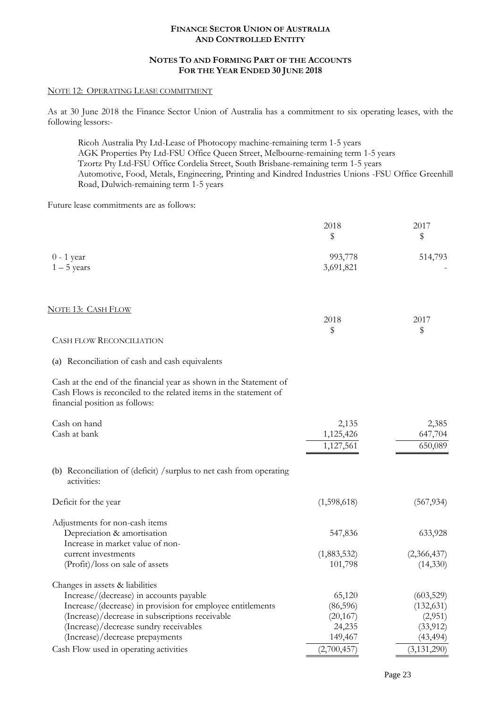## **NOTES TO AND FORMING PART OF THE ACCOUNTS FOR THE YEAR ENDED 30 JUNE 2018**

#### NOTE 12: OPERATING LEASE COMMITMENT

As at 30 June 2018 the Finance Sector Union of Australia has a commitment to six operating leases, with the following lessors:-

Ricoh Australia Pty Ltd-Lease of Photocopy machine-remaining term 1-5 years AGK Properties Pty Ltd-FSU Office Queen Street, Melbourne-remaining term 1-5 years Tzortz Pty Ltd-FSU Office Cordelia Street, South Brisbane-remaining term 1-5 years Automotive, Food, Metals, Engineering, Printing and Kindred Industries Unions -FSU Office Greenhill Road, Dulwich-remaining term 1-5 years

Future lease commitments are as follows:

|                                                                                                                                                                                                                                                                          | 2018<br>\$                                            | 2017<br>\$                                                    |
|--------------------------------------------------------------------------------------------------------------------------------------------------------------------------------------------------------------------------------------------------------------------------|-------------------------------------------------------|---------------------------------------------------------------|
| $0 - 1$ year<br>$1 - 5$ years                                                                                                                                                                                                                                            | 993,778<br>3,691,821                                  | 514,793                                                       |
| <u>NOTE 13: CASH FLOW</u>                                                                                                                                                                                                                                                | 2018<br>\$                                            | 2017<br>\$                                                    |
| CASH FLOW RECONCILIATION                                                                                                                                                                                                                                                 |                                                       |                                                               |
| (a) Reconciliation of cash and cash equivalents                                                                                                                                                                                                                          |                                                       |                                                               |
| Cash at the end of the financial year as shown in the Statement of<br>Cash Flows is reconciled to the related items in the statement of<br>financial position as follows:                                                                                                |                                                       |                                                               |
| Cash on hand<br>Cash at bank                                                                                                                                                                                                                                             | 2,135<br>1,125,426<br>1,127,561                       | 2,385<br>647,704<br>650,089                                   |
| (b) Reconciliation of (deficit) / surplus to net cash from operating<br>activities:                                                                                                                                                                                      |                                                       |                                                               |
| Deficit for the year                                                                                                                                                                                                                                                     | (1,598,618)                                           | (567, 934)                                                    |
| Adjustments for non-cash items<br>Depreciation & amortisation<br>Increase in market value of non-<br>current investments                                                                                                                                                 | 547,836<br>(1,883,532)                                | 633,928<br>(2,366,437)                                        |
| (Profit)/loss on sale of assets                                                                                                                                                                                                                                          | 101,798                                               | (14, 330)                                                     |
| Changes in assets & liabilities<br>Increase/(decrease) in accounts payable<br>Increase/(decrease) in provision for employee entitlements<br>(Increase)/decrease in subscriptions receivable<br>(Increase)/decrease sundry receivables<br>(Increase)/decrease prepayments | 65,120<br>(86, 596)<br>(20, 167)<br>24,235<br>149,467 | (603, 529)<br>(132, 631)<br>(2,951)<br>(33, 912)<br>(43, 494) |
| Cash Flow used in operating activities                                                                                                                                                                                                                                   | (2,700,457)                                           | (3, 131, 290)                                                 |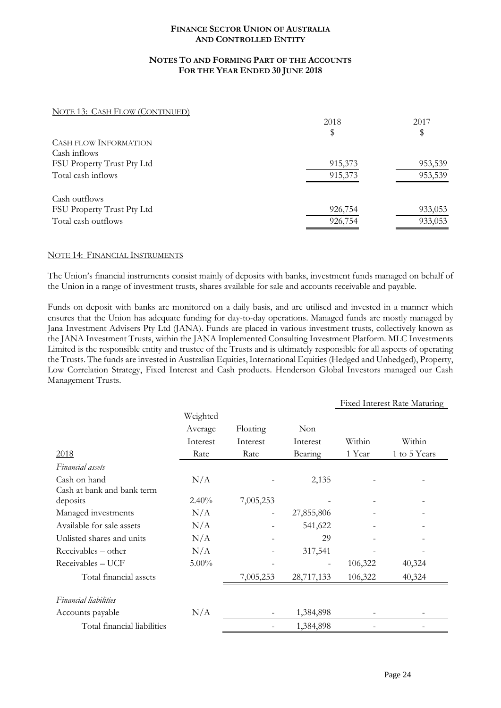## **NOTES TO AND FORMING PART OF THE ACCOUNTS FOR THE YEAR ENDED 30 JUNE 2018**

#### NOTE 13: CASH FLOW (CONTINUED)

|                              | 2018    | 2017    |  |
|------------------------------|---------|---------|--|
|                              | \$      | \$      |  |
| <b>CASH FLOW INFORMATION</b> |         |         |  |
| Cash inflows                 |         |         |  |
| FSU Property Trust Pty Ltd   | 915,373 | 953,539 |  |
| Total cash inflows           | 915,373 | 953,539 |  |
| Cash outflows                |         |         |  |
| FSU Property Trust Pty Ltd   | 926,754 | 933,053 |  |
| Total cash outflows          | 926,754 | 933,053 |  |
|                              |         |         |  |

#### NOTE 14: FINANCIAL INSTRUMENTS

The Union's financial instruments consist mainly of deposits with banks, investment funds managed on behalf of the Union in a range of investment trusts, shares available for sale and accounts receivable and payable.

Funds on deposit with banks are monitored on a daily basis, and are utilised and invested in a manner which ensures that the Union has adequate funding for day-to-day operations. Managed funds are mostly managed by Jana Investment Advisers Pty Ltd (JANA). Funds are placed in various investment trusts, collectively known as the JANA Investment Trusts, within the JANA Implemented Consulting Investment Platform. MLC Investments Limited is the responsible entity and trustee of the Trusts and is ultimately responsible for all aspects of operating the Trusts. The funds are invested in Australian Equities, International Equities (Hedged and Unhedged), Property, Low Correlation Strategy, Fixed Interest and Cash products. Henderson Global Investors managed our Cash Management Trusts.

|                             |          |           |            |         | <b>Fixed Interest Rate Maturing</b> |
|-----------------------------|----------|-----------|------------|---------|-------------------------------------|
|                             | Weighted |           |            |         |                                     |
|                             | Average  | Floating  | Non        |         |                                     |
|                             | Interest | Interest  | Interest   | Within  | Within                              |
| 2018                        | Rate     | Rate      | Bearing    | 1 Year  | 1 to 5 Years                        |
| Financial assets            |          |           |            |         |                                     |
| Cash on hand                | N/A      |           | 2,135      |         |                                     |
| Cash at bank and bank term  |          |           |            |         |                                     |
| deposits                    | $2.40\%$ | 7,005,253 |            |         |                                     |
| Managed investments         | N/A      |           | 27,855,806 |         |                                     |
| Available for sale assets   | N/A      |           | 541,622    |         |                                     |
| Unlisted shares and units   | N/A      |           | 29         |         |                                     |
| Receivables – other         | N/A      |           | 317,541    |         |                                     |
| Receivables - UCF           | $5.00\%$ |           |            | 106,322 | 40,324                              |
| Total financial assets      |          | 7,005,253 | 28,717,133 | 106,322 | 40,324                              |
| Financial liabilities       |          |           |            |         |                                     |
| Accounts payable            | N/A      |           | 1,384,898  |         |                                     |
| Total financial liabilities |          |           | 1,384,898  |         |                                     |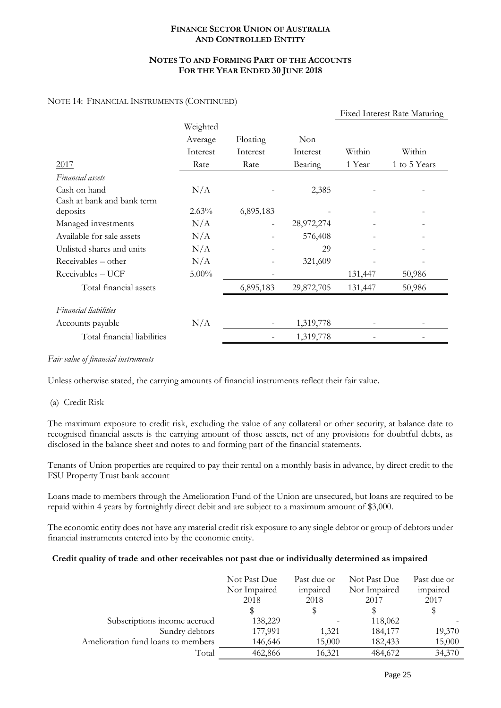## **NOTES TO AND FORMING PART OF THE ACCOUNTS FOR THE YEAR ENDED 30 JUNE 2018**

#### NOTE 14: FINANCIAL INSTRUMENTS (CONTINUED)

|                             |          |                          |            |         | <b>Fixed Interest Rate Maturing</b> |
|-----------------------------|----------|--------------------------|------------|---------|-------------------------------------|
|                             | Weighted |                          |            |         |                                     |
|                             | Average  | Floating                 | Non        |         |                                     |
|                             | Interest | Interest                 | Interest   | Within  | Within                              |
| <u>2017</u>                 | Rate     | Rate                     | Bearing    | 1 Year  | 1 to 5 Years                        |
| Financial assets            |          |                          |            |         |                                     |
| Cash on hand                | N/A      |                          | 2,385      |         |                                     |
| Cash at bank and bank term  |          |                          |            |         |                                     |
| deposits                    | 2.63%    | 6,895,183                |            |         |                                     |
| Managed investments         | N/A      |                          | 28,972,274 |         |                                     |
| Available for sale assets   | N/A      |                          | 576,408    |         |                                     |
| Unlisted shares and units   | N/A      | -                        | 29         |         |                                     |
| Receivables - other         | N/A      |                          | 321,609    |         |                                     |
| Receivables - UCF           | $5.00\%$ | $\overline{\phantom{0}}$ |            | 131,447 | 50,986                              |
| Total financial assets      |          | 6,895,183                | 29,872,705 | 131,447 | 50,986                              |
| Financial liabilities       |          |                          |            |         |                                     |
| Accounts payable            | N/A      |                          | 1,319,778  |         |                                     |
| Total financial liabilities |          |                          | 1,319,778  |         |                                     |

#### *Fair value of financial instruments*

Unless otherwise stated, the carrying amounts of financial instruments reflect their fair value.

## (a) Credit Risk

The maximum exposure to credit risk, excluding the value of any collateral or other security, at balance date to recognised financial assets is the carrying amount of those assets, net of any provisions for doubtful debts, as disclosed in the balance sheet and notes to and forming part of the financial statements.

Tenants of Union properties are required to pay their rental on a monthly basis in advance, by direct credit to the FSU Property Trust bank account

Loans made to members through the Amelioration Fund of the Union are unsecured, but loans are required to be repaid within 4 years by fortnightly direct debit and are subject to a maximum amount of \$3,000.

The economic entity does not have any material credit risk exposure to any single debtor or group of debtors under financial instruments entered into by the economic entity.

#### **Credit quality of trade and other receivables not past due or individually determined as impaired**

|                                    | Not Past Due | Past due or | Not Past Due | Past due or |
|------------------------------------|--------------|-------------|--------------|-------------|
|                                    | Nor Impaired | impaired    | Nor Impaired | impaired    |
|                                    | 2018         | 2018        | 2017         | 2017        |
|                                    |              | S           |              |             |
| Subscriptions income accrued       | 138,229      |             | 118,062      |             |
| Sundry debtors                     | 177,991      | 1,321       | 184,177      | 19,370      |
| Amelioration fund loans to members | 146,646      | 15,000      | 182,433      | 15,000      |
| Total                              | 462,866      | 16,321      | 484,672      | 34,370      |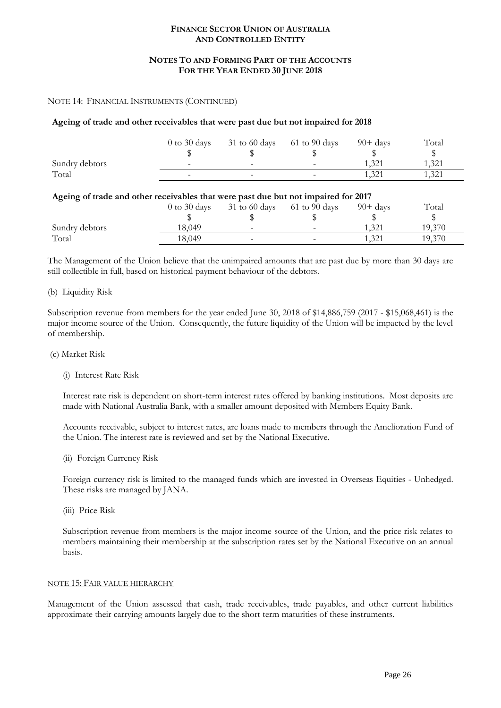#### **NOTES TO AND FORMING PART OF THE ACCOUNTS FOR THE YEAR ENDED 30 JUNE 2018**

## NOTE 14: FINANCIAL INSTRUMENTS (CONTINUED)

#### **Ageing of trade and other receivables that were past due but not impaired for 2018**

|                | $0$ to 30 days | 31 to 60 days            | 61 to 90 days | $90 + days$ | Total |
|----------------|----------------|--------------------------|---------------|-------------|-------|
| Sundry debtors | -              | $\overline{\phantom{0}}$ |               | 1.321       | 1.321 |
| Total          |                | -                        |               | 1.321       | 1.321 |
|                |                |                          |               |             |       |

#### **Ageing of trade and other receivables that were past due but not impaired for 2017**

|                | $0$ to 30 days | 31 to 60 days            | $61$ to $90$ days        | $90 + \text{days}$ | Total  |
|----------------|----------------|--------------------------|--------------------------|--------------------|--------|
|                |                |                          |                          |                    |        |
| Sundry debtors | 18.049         | $\overline{\phantom{a}}$ | $\overline{\phantom{0}}$ | 1.321              | 19,370 |
| Total          | 18.049         | $\overline{\phantom{0}}$ |                          | 1.321              | 19.370 |

The Management of the Union believe that the unimpaired amounts that are past due by more than 30 days are still collectible in full, based on historical payment behaviour of the debtors.

#### (b) Liquidity Risk

Subscription revenue from members for the year ended June 30, 2018 of \$14,886,759 (2017 - \$15,068,461) is the major income source of the Union. Consequently, the future liquidity of the Union will be impacted by the level of membership.

#### (c) Market Risk

(i) Interest Rate Risk

Interest rate risk is dependent on short-term interest rates offered by banking institutions. Most deposits are made with National Australia Bank, with a smaller amount deposited with Members Equity Bank.

Accounts receivable, subject to interest rates, are loans made to members through the Amelioration Fund of the Union. The interest rate is reviewed and set by the National Executive.

(ii) Foreign Currency Risk

Foreign currency risk is limited to the managed funds which are invested in Overseas Equities - Unhedged. These risks are managed by JANA.

(iii) Price Risk

Subscription revenue from members is the major income source of the Union, and the price risk relates to members maintaining their membership at the subscription rates set by the National Executive on an annual basis.

#### NOTE 15: FAIR VALUE HIERARCHY

Management of the Union assessed that cash, trade receivables, trade payables, and other current liabilities approximate their carrying amounts largely due to the short term maturities of these instruments.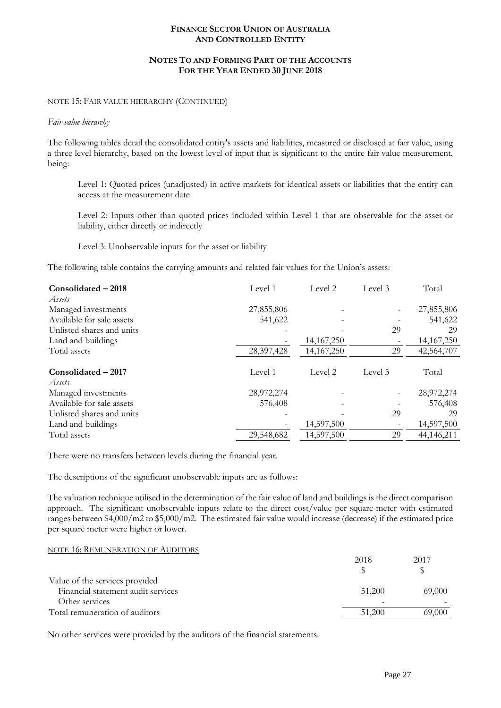## **NOTES TO AND FORMING PART OF THE ACCOUNTS FOR THE YEAR ENDED 30 JUNE 2018**

#### NOTE 15: FAIR VALUE HIERARCHY (CONTINUED)

#### *Fair value hierarchy*

The following tables detail the consolidated entity's assets and liabilities, measured or disclosed at fair value, using a three level hierarchy, based on the lowest level of input that is significant to the entire fair value measurement, being:

Level 1: Quoted prices (unadjusted) in active markets for identical assets or liabilities that the entity can access at the measurement date

Level 2: Inputs other than quoted prices included within Level 1 that are observable for the asset or liability, either directly or indirectly

Level 3: Unobservable inputs for the asset or liability

The following table contains the carrying amounts and related fair values for the Union's assets:

| Consolidated – 2018           | Level 1    | Level 2      | Level 3 | Total        |
|-------------------------------|------------|--------------|---------|--------------|
| Assets                        |            |              |         |              |
| Managed investments           | 27,855,806 |              |         | 27,855,806   |
| Available for sale assets     | 541,622    |              |         | 541,622      |
| Unlisted shares and units     |            |              | 29      | 29           |
| Land and buildings            |            | 14, 167, 250 |         | 14, 167, 250 |
| Total assets                  | 28,397,428 | 14, 167, 250 | 29      | 42,564,707   |
| Consolidated - 2017<br>Assets | Level 1    | Level 2      | Level 3 | Total        |
| Managed investments           | 28,972,274 |              |         | 28,972,274   |
| Available for sale assets     | 576,408    |              |         | 576,408      |
| Unlisted shares and units     |            |              | 29      | 29           |
| Land and buildings            |            | 14,597,500   |         | 14,597,500   |
| Total assets                  | 29,548,682 | 14,597,500   | 29      | 44,146,211   |

There were no transfers between levels during the financial year.

The descriptions of the significant unobservable inputs are as follows:

The valuation technique utilised in the determination of the fair value of land and buildings is the direct comparison approach. The significant unobservable inputs relate to the direct cost/value per square meter with estimated ranges between \$4,000/m2 to \$5,000/m2. The estimated fair value would increase (decrease) if the estimated price per square meter were higher or lower.

#### NOTE 16: REMUNERATION OF AUDITORS

|                                    | 2018   | 2017   |
|------------------------------------|--------|--------|
|                                    |        |        |
| Value of the services provided     |        |        |
| Financial statement audit services | 51,200 | 69,000 |
| Other services                     |        |        |
| Total remuneration of auditors     | 51,200 | 69,000 |

No other services were provided by the auditors of the financial statements.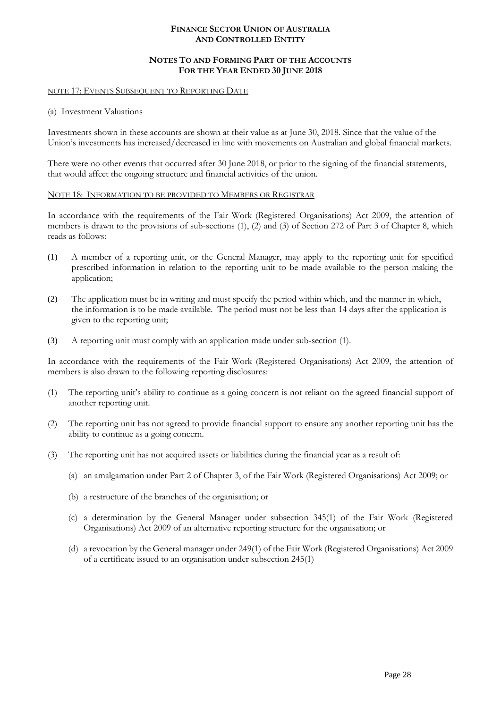## **NOTES TO AND FORMING PART OF THE ACCOUNTS FOR THE YEAR ENDED 30 JUNE 2018**

#### NOTE 17: EVENTS SUBSEQUENT TO REPORTING DATE

#### (a) Investment Valuations

Investments shown in these accounts are shown at their value as at June 30, 2018. Since that the value of the Union's investments has increased/decreased in line with movements on Australian and global financial markets.

There were no other events that occurred after 30 June 2018, or prior to the signing of the financial statements, that would affect the ongoing structure and financial activities of the union.

#### NOTE 18: INFORMATION TO BE PROVIDED TO MEMBERS OR REGISTRAR

In accordance with the requirements of the Fair Work (Registered Organisations) Act 2009, the attention of members is drawn to the provisions of sub-sections (1), (2) and (3) of Section 272 of Part 3 of Chapter 8, which reads as follows:

- (1) A member of a reporting unit, or the General Manager, may apply to the reporting unit for specified prescribed information in relation to the reporting unit to be made available to the person making the application;
- (2) The application must be in writing and must specify the period within which, and the manner in which, the information is to be made available. The period must not be less than 14 days after the application is given to the reporting unit;
- (3) A reporting unit must comply with an application made under sub-section (1).

In accordance with the requirements of the Fair Work (Registered Organisations) Act 2009, the attention of members is also drawn to the following reporting disclosures:

- (1) The reporting unit's ability to continue as a going concern is not reliant on the agreed financial support of another reporting unit.
- (2) The reporting unit has not agreed to provide financial support to ensure any another reporting unit has the ability to continue as a going concern.
- (3) The reporting unit has not acquired assets or liabilities during the financial year as a result of:
	- (a) an amalgamation under Part 2 of Chapter 3, of the Fair Work (Registered Organisations) Act 2009; or
	- (b) a restructure of the branches of the organisation; or
	- (c) a determination by the General Manager under subsection 345(1) of the Fair Work (Registered Organisations) Act 2009 of an alternative reporting structure for the organisation; or
	- (d) a revocation by the General manager under 249(1) of the Fair Work (Registered Organisations) Act 2009 of a certificate issued to an organisation under subsection 245(1)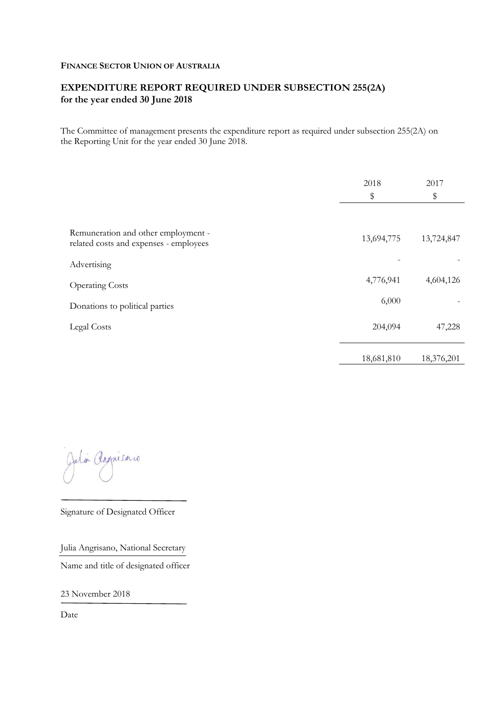#### **FINANCE SECTOR UNION OF AUSTRALIA**

## **EXPENDITURE REPORT REQUIRED UNDER SUBSECTION 255(2A) for the year ended 30 June 2018**

The Committee of management presents the expenditure report as required under subsection 255(2A) on the Reporting Unit for the year ended 30 June 2018.

|                                                       | 2018<br>\$ | 2017<br>\$ |
|-------------------------------------------------------|------------|------------|
| Remuneration and other employment -                   | 13,694,775 | 13,724,847 |
| related costs and expenses - employees<br>Advertising |            |            |
| <b>Operating Costs</b>                                | 4,776,941  | 4,604,126  |
| Donations to political parties                        | 6,000      |            |
| Legal Costs                                           | 204,094    | 47,228     |
|                                                       | 18,681,810 | 18,376,201 |

Julia Angrisario

Signature of Designated Officer

Julia Angrisano, National Secretary

Name and title of designated officer

23 November 2018

Date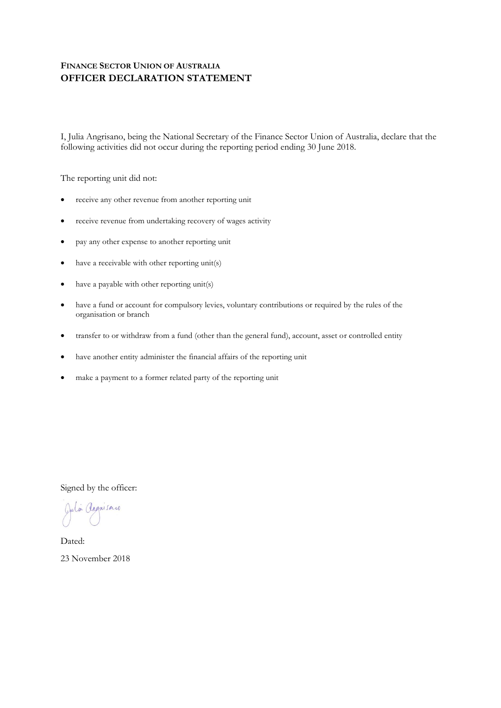## **FINANCE SECTOR UNION OF AUSTRALIA OFFICER DECLARATION STATEMENT**

I, Julia Angrisano, being the National Secretary of the Finance Sector Union of Australia, declare that the following activities did not occur during the reporting period ending 30 June 2018.

The reporting unit did not:

- receive any other revenue from another reporting unit
- receive revenue from undertaking recovery of wages activity
- pay any other expense to another reporting unit
- have a receivable with other reporting unit(s)
- have a payable with other reporting unit(s)
- have a fund or account for compulsory levies, voluntary contributions or required by the rules of the organisation or branch
- transfer to or withdraw from a fund (other than the general fund), account, asset or controlled entity
- have another entity administer the financial affairs of the reporting unit
- make a payment to a former related party of the reporting unit

Signed by the officer:

Julio Angrisario

Dated: 23 November 2018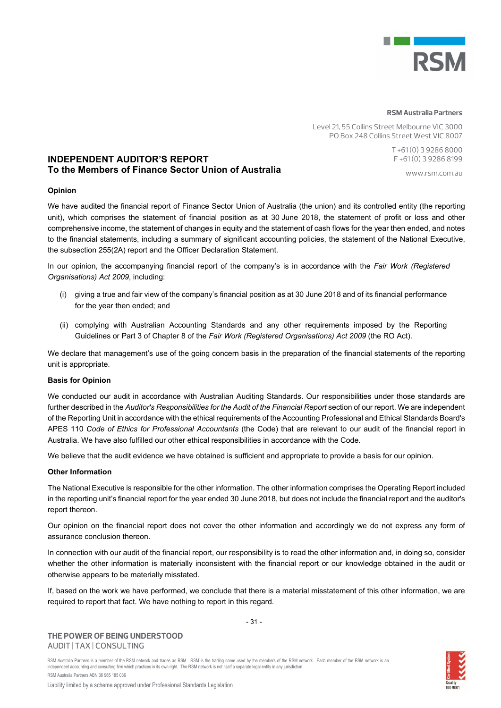

#### **RSM Australia Partners**

Level 21, 55 Collins Street Melbourne VIC 3000 PO Box 248 Collins Street West VIC 8007

> T +61 (0) 3 9286 8000 F +61 (0) 3 9286 8199

> > www.rsm.com.au

## **INDEPENDENT AUDITOR'S REPORT To the Members of Finance Sector Union of Australia**

#### **Opinion**

We have audited the financial report of Finance Sector Union of Australia (the union) and its controlled entity (the reporting unit), which comprises the statement of financial position as at 30 June 2018, the statement of profit or loss and other comprehensive income, the statement of changes in equity and the statement of cash flows for the year then ended, and notes to the financial statements, including a summary of significant accounting policies, the statement of the National Executive, the subsection 255(2A) report and the Officer Declaration Statement.

In our opinion, the accompanying financial report of the company's is in accordance with the *Fair Work (Registered Organisations) Act 2009*, including:

- (i) giving a true and fair view of the company's financial position as at 30 June 2018 and of its financial performance for the year then ended; and
- (ii) complying with Australian Accounting Standards and any other requirements imposed by the Reporting Guidelines or Part 3 of Chapter 8 of the *Fair Work (Registered Organisations) Act 2009* (the RO Act).

We declare that management's use of the going concern basis in the preparation of the financial statements of the reporting unit is appropriate.

#### **Basis for Opinion**

We conducted our audit in accordance with Australian Auditing Standards. Our responsibilities under those standards are further described in the *Auditor's Responsibilities for the Audit of the Financial Report* section of our report. We are independent of the Reporting Unit in accordance with the ethical requirements of the Accounting Professional and Ethical Standards Board's APES 110 *Code of Ethics for Professional Accountants* (the Code) that are relevant to our audit of the financial report in Australia. We have also fulfilled our other ethical responsibilities in accordance with the Code.

We believe that the audit evidence we have obtained is sufficient and appropriate to provide a basis for our opinion.

#### **Other Information**

The National Executive is responsible for the other information. The other information comprises the Operating Report included in the reporting unit's financial report for the year ended 30 June 2018, but does not include the financial report and the auditor's report thereon.

Our opinion on the financial report does not cover the other information and accordingly we do not express any form of assurance conclusion thereon.

In connection with our audit of the financial report, our responsibility is to read the other information and, in doing so, consider whether the other information is materially inconsistent with the financial report or our knowledge obtained in the audit or otherwise appears to be materially misstated.

If, based on the work we have performed, we conclude that there is a material misstatement of this other information, we are required to report that fact. We have nothing to report in this regard.

**THE POWER OF BEING UNDERSTOOD**  AUDIT | TAX | CONSULTING

RSM Australia Partners is a member of the RSM network and trades as RSM. RSM is the trading name used by the members of the RSM network. Each member of the RSM network is an independent accounting and consulting firm which practices in its own right. The RSM network is not itself a separate legal entity in any jurisdiction. RSM Australia Partners ABN 36 965 185 036

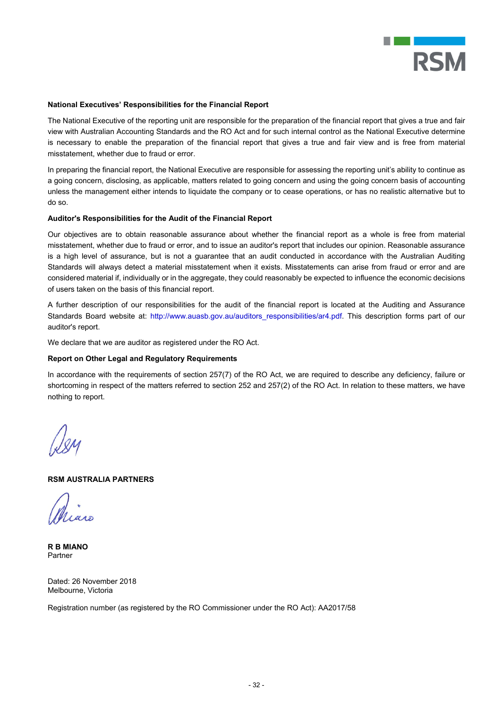

#### **National Executives' Responsibilities for the Financial Report**

The National Executive of the reporting unit are responsible for the preparation of the financial report that gives a true and fair view with Australian Accounting Standards and the RO Act and for such internal control as the National Executive determine is necessary to enable the preparation of the financial report that gives a true and fair view and is free from material misstatement, whether due to fraud or error.

In preparing the financial report, the National Executive are responsible for assessing the reporting unit's ability to continue as a going concern, disclosing, as applicable, matters related to going concern and using the going concern basis of accounting unless the management either intends to liquidate the company or to cease operations, or has no realistic alternative but to do so.

#### **Auditor's Responsibilities for the Audit of the Financial Report**

Our objectives are to obtain reasonable assurance about whether the financial report as a whole is free from material misstatement, whether due to fraud or error, and to issue an auditor's report that includes our opinion. Reasonable assurance is a high level of assurance, but is not a guarantee that an audit conducted in accordance with the Australian Auditing Standards will always detect a material misstatement when it exists. Misstatements can arise from fraud or error and are considered material if, individually or in the aggregate, they could reasonably be expected to influence the economic decisions of users taken on the basis of this financial report.

A further description of our responsibilities for the audit of the financial report is located at the Auditing and Assurance Standards Board website at: http://www.auasb.gov.au/auditors responsibilities/ar4.pdf. This description forms part of our auditor's report.

We declare that we are auditor as registered under the RO Act.

#### **Report on Other Legal and Regulatory Requirements**

In accordance with the requirements of section 257(7) of the RO Act, we are required to describe any deficiency, failure or shortcoming in respect of the matters referred to section 252 and 257(2) of the RO Act. In relation to these matters, we have nothing to report.

#### **RSM AUSTRALIA PARTNERS**

**R B MIANO**  Partner

Dated: 26 November 2018 Melbourne, Victoria

Registration number (as registered by the RO Commissioner under the RO Act): AA2017/58